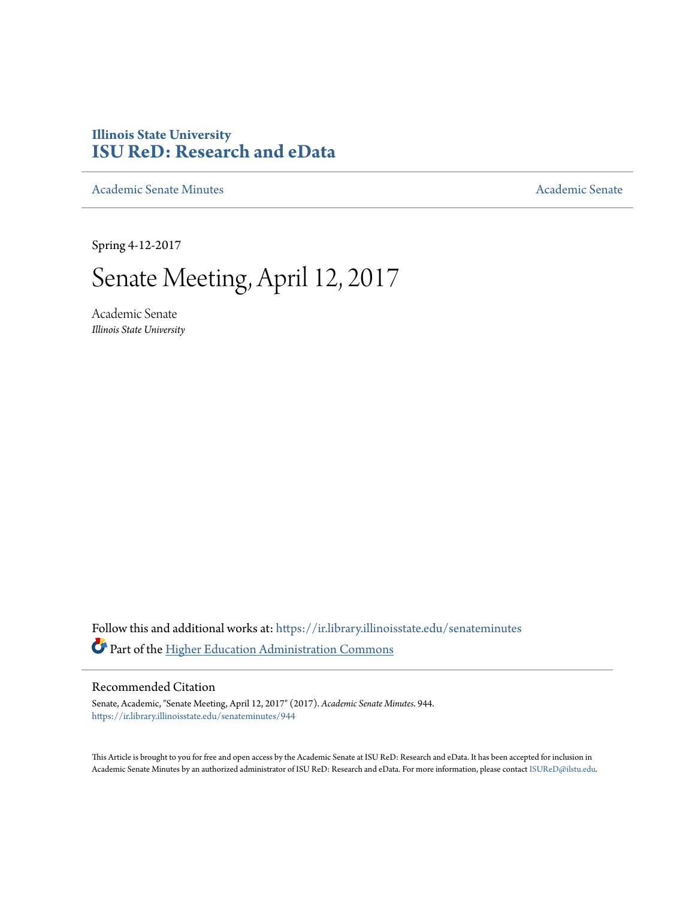## **Illinois State University [ISU ReD: Research and eData](https://ir.library.illinoisstate.edu?utm_source=ir.library.illinoisstate.edu%2Fsenateminutes%2F944&utm_medium=PDF&utm_campaign=PDFCoverPages)**

[Academic Senate Minutes](https://ir.library.illinoisstate.edu/senateminutes?utm_source=ir.library.illinoisstate.edu%2Fsenateminutes%2F944&utm_medium=PDF&utm_campaign=PDFCoverPages) [Academic Senate](https://ir.library.illinoisstate.edu/senate?utm_source=ir.library.illinoisstate.edu%2Fsenateminutes%2F944&utm_medium=PDF&utm_campaign=PDFCoverPages) Academic Senate

Spring 4-12-2017

# Senate Meeting, April 12, 2017

Academic Senate *Illinois State University*

Follow this and additional works at: [https://ir.library.illinoisstate.edu/senateminutes](https://ir.library.illinoisstate.edu/senateminutes?utm_source=ir.library.illinoisstate.edu%2Fsenateminutes%2F944&utm_medium=PDF&utm_campaign=PDFCoverPages) Part of the [Higher Education Administration Commons](http://network.bepress.com/hgg/discipline/791?utm_source=ir.library.illinoisstate.edu%2Fsenateminutes%2F944&utm_medium=PDF&utm_campaign=PDFCoverPages)

#### Recommended Citation

Senate, Academic, "Senate Meeting, April 12, 2017" (2017). *Academic Senate Minutes*. 944. [https://ir.library.illinoisstate.edu/senateminutes/944](https://ir.library.illinoisstate.edu/senateminutes/944?utm_source=ir.library.illinoisstate.edu%2Fsenateminutes%2F944&utm_medium=PDF&utm_campaign=PDFCoverPages)

This Article is brought to you for free and open access by the Academic Senate at ISU ReD: Research and eData. It has been accepted for inclusion in Academic Senate Minutes by an authorized administrator of ISU ReD: Research and eData. For more information, please contact [ISUReD@ilstu.edu.](mailto:ISUReD@ilstu.edu)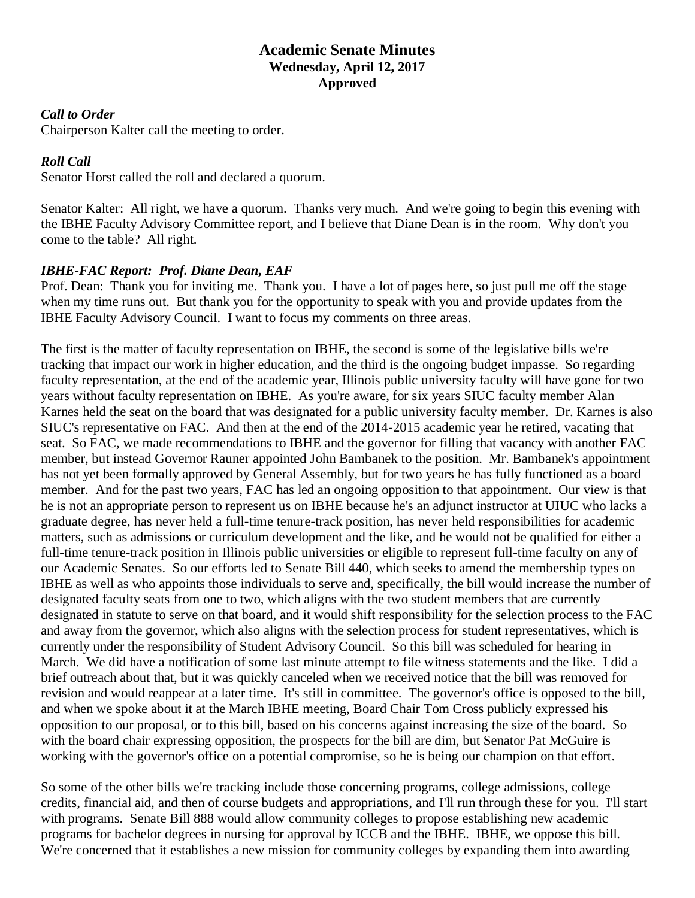### **Academic Senate Minutes Wednesday, April 12, 2017 Approved**

#### *Call to Order*

Chairperson Kalter call the meeting to order.

#### *Roll Call*

Senator Horst called the roll and declared a quorum.

Senator Kalter: All right, we have a quorum. Thanks very much. And we're going to begin this evening with the IBHE Faculty Advisory Committee report, and I believe that Diane Dean is in the room. Why don't you come to the table? All right.

#### *IBHE-FAC Report: Prof. Diane Dean, EAF*

Prof. Dean: Thank you for inviting me. Thank you. I have a lot of pages here, so just pull me off the stage when my time runs out. But thank you for the opportunity to speak with you and provide updates from the IBHE Faculty Advisory Council. I want to focus my comments on three areas.

The first is the matter of faculty representation on IBHE, the second is some of the legislative bills we're tracking that impact our work in higher education, and the third is the ongoing budget impasse. So regarding faculty representation, at the end of the academic year, Illinois public university faculty will have gone for two years without faculty representation on IBHE. As you're aware, for six years SIUC faculty member Alan Karnes held the seat on the board that was designated for a public university faculty member. Dr. Karnes is also SIUC's representative on FAC. And then at the end of the 2014-2015 academic year he retired, vacating that seat. So FAC, we made recommendations to IBHE and the governor for filling that vacancy with another FAC member, but instead Governor Rauner appointed John Bambanek to the position. Mr. Bambanek's appointment has not yet been formally approved by General Assembly, but for two years he has fully functioned as a board member. And for the past two years, FAC has led an ongoing opposition to that appointment. Our view is that he is not an appropriate person to represent us on IBHE because he's an adjunct instructor at UIUC who lacks a graduate degree, has never held a full-time tenure-track position, has never held responsibilities for academic matters, such as admissions or curriculum development and the like, and he would not be qualified for either a full-time tenure-track position in Illinois public universities or eligible to represent full-time faculty on any of our Academic Senates. So our efforts led to Senate Bill 440, which seeks to amend the membership types on IBHE as well as who appoints those individuals to serve and, specifically, the bill would increase the number of designated faculty seats from one to two, which aligns with the two student members that are currently designated in statute to serve on that board, and it would shift responsibility for the selection process to the FAC and away from the governor, which also aligns with the selection process for student representatives, which is currently under the responsibility of Student Advisory Council. So this bill was scheduled for hearing in March. We did have a notification of some last minute attempt to file witness statements and the like. I did a brief outreach about that, but it was quickly canceled when we received notice that the bill was removed for revision and would reappear at a later time. It's still in committee. The governor's office is opposed to the bill, and when we spoke about it at the March IBHE meeting, Board Chair Tom Cross publicly expressed his opposition to our proposal, or to this bill, based on his concerns against increasing the size of the board. So with the board chair expressing opposition, the prospects for the bill are dim, but Senator Pat McGuire is working with the governor's office on a potential compromise, so he is being our champion on that effort.

So some of the other bills we're tracking include those concerning programs, college admissions, college credits, financial aid, and then of course budgets and appropriations, and I'll run through these for you. I'll start with programs. Senate Bill 888 would allow community colleges to propose establishing new academic programs for bachelor degrees in nursing for approval by ICCB and the IBHE. IBHE, we oppose this bill. We're concerned that it establishes a new mission for community colleges by expanding them into awarding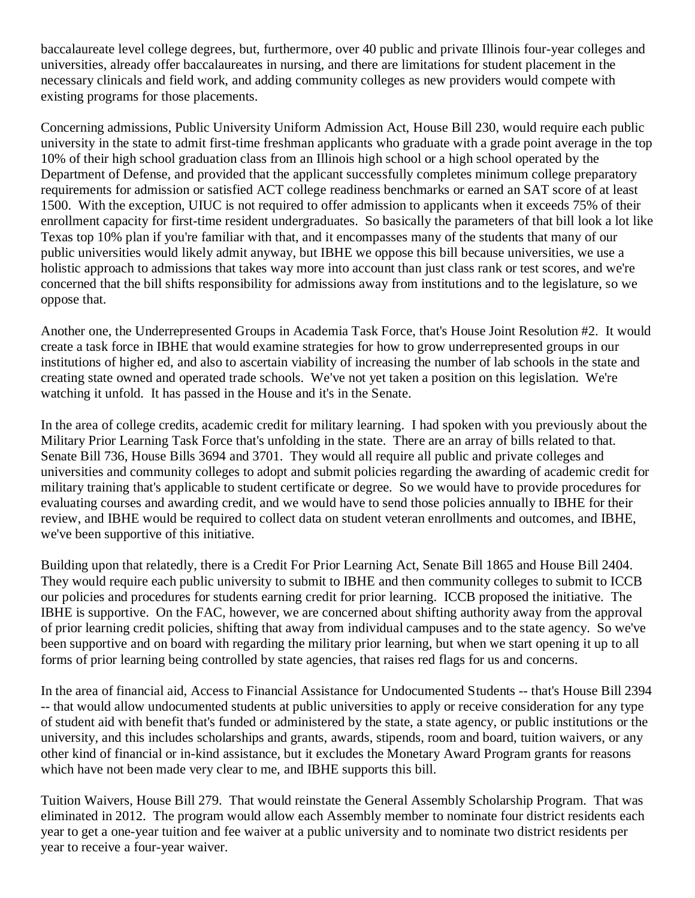baccalaureate level college degrees, but, furthermore, over 40 public and private Illinois four-year colleges and universities, already offer baccalaureates in nursing, and there are limitations for student placement in the necessary clinicals and field work, and adding community colleges as new providers would compete with existing programs for those placements.

Concerning admissions, Public University Uniform Admission Act, House Bill 230, would require each public university in the state to admit first-time freshman applicants who graduate with a grade point average in the top 10% of their high school graduation class from an Illinois high school or a high school operated by the Department of Defense, and provided that the applicant successfully completes minimum college preparatory requirements for admission or satisfied ACT college readiness benchmarks or earned an SAT score of at least 1500. With the exception, UIUC is not required to offer admission to applicants when it exceeds 75% of their enrollment capacity for first-time resident undergraduates. So basically the parameters of that bill look a lot like Texas top 10% plan if you're familiar with that, and it encompasses many of the students that many of our public universities would likely admit anyway, but IBHE we oppose this bill because universities, we use a holistic approach to admissions that takes way more into account than just class rank or test scores, and we're concerned that the bill shifts responsibility for admissions away from institutions and to the legislature, so we oppose that.

Another one, the Underrepresented Groups in Academia Task Force, that's House Joint Resolution #2. It would create a task force in IBHE that would examine strategies for how to grow underrepresented groups in our institutions of higher ed, and also to ascertain viability of increasing the number of lab schools in the state and creating state owned and operated trade schools. We've not yet taken a position on this legislation. We're watching it unfold. It has passed in the House and it's in the Senate.

In the area of college credits, academic credit for military learning. I had spoken with you previously about the Military Prior Learning Task Force that's unfolding in the state. There are an array of bills related to that. Senate Bill 736, House Bills 3694 and 3701. They would all require all public and private colleges and universities and community colleges to adopt and submit policies regarding the awarding of academic credit for military training that's applicable to student certificate or degree. So we would have to provide procedures for evaluating courses and awarding credit, and we would have to send those policies annually to IBHE for their review, and IBHE would be required to collect data on student veteran enrollments and outcomes, and IBHE, we've been supportive of this initiative.

Building upon that relatedly, there is a Credit For Prior Learning Act, Senate Bill 1865 and House Bill 2404. They would require each public university to submit to IBHE and then community colleges to submit to ICCB our policies and procedures for students earning credit for prior learning. ICCB proposed the initiative. The IBHE is supportive. On the FAC, however, we are concerned about shifting authority away from the approval of prior learning credit policies, shifting that away from individual campuses and to the state agency. So we've been supportive and on board with regarding the military prior learning, but when we start opening it up to all forms of prior learning being controlled by state agencies, that raises red flags for us and concerns.

In the area of financial aid, Access to Financial Assistance for Undocumented Students -- that's House Bill 2394 -- that would allow undocumented students at public universities to apply or receive consideration for any type of student aid with benefit that's funded or administered by the state, a state agency, or public institutions or the university, and this includes scholarships and grants, awards, stipends, room and board, tuition waivers, or any other kind of financial or in-kind assistance, but it excludes the Monetary Award Program grants for reasons which have not been made very clear to me, and IBHE supports this bill.

Tuition Waivers, House Bill 279. That would reinstate the General Assembly Scholarship Program. That was eliminated in 2012. The program would allow each Assembly member to nominate four district residents each year to get a one-year tuition and fee waiver at a public university and to nominate two district residents per year to receive a four-year waiver.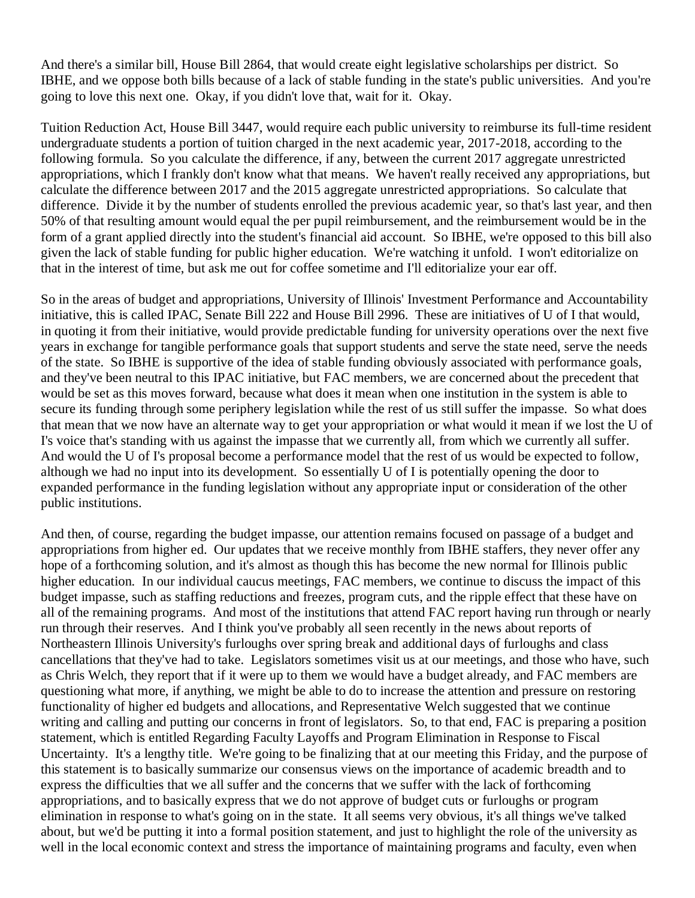And there's a similar bill, House Bill 2864, that would create eight legislative scholarships per district. So IBHE, and we oppose both bills because of a lack of stable funding in the state's public universities. And you're going to love this next one. Okay, if you didn't love that, wait for it. Okay.

Tuition Reduction Act, House Bill 3447, would require each public university to reimburse its full-time resident undergraduate students a portion of tuition charged in the next academic year, 2017-2018, according to the following formula. So you calculate the difference, if any, between the current 2017 aggregate unrestricted appropriations, which I frankly don't know what that means. We haven't really received any appropriations, but calculate the difference between 2017 and the 2015 aggregate unrestricted appropriations. So calculate that difference. Divide it by the number of students enrolled the previous academic year, so that's last year, and then 50% of that resulting amount would equal the per pupil reimbursement, and the reimbursement would be in the form of a grant applied directly into the student's financial aid account. So IBHE, we're opposed to this bill also given the lack of stable funding for public higher education. We're watching it unfold. I won't editorialize on that in the interest of time, but ask me out for coffee sometime and I'll editorialize your ear off.

So in the areas of budget and appropriations, University of Illinois' Investment Performance and Accountability initiative, this is called IPAC, Senate Bill 222 and House Bill 2996. These are initiatives of U of I that would, in quoting it from their initiative, would provide predictable funding for university operations over the next five years in exchange for tangible performance goals that support students and serve the state need, serve the needs of the state. So IBHE is supportive of the idea of stable funding obviously associated with performance goals, and they've been neutral to this IPAC initiative, but FAC members, we are concerned about the precedent that would be set as this moves forward, because what does it mean when one institution in the system is able to secure its funding through some periphery legislation while the rest of us still suffer the impasse. So what does that mean that we now have an alternate way to get your appropriation or what would it mean if we lost the U of I's voice that's standing with us against the impasse that we currently all, from which we currently all suffer. And would the U of I's proposal become a performance model that the rest of us would be expected to follow, although we had no input into its development. So essentially U of I is potentially opening the door to expanded performance in the funding legislation without any appropriate input or consideration of the other public institutions.

And then, of course, regarding the budget impasse, our attention remains focused on passage of a budget and appropriations from higher ed. Our updates that we receive monthly from IBHE staffers, they never offer any hope of a forthcoming solution, and it's almost as though this has become the new normal for Illinois public higher education. In our individual caucus meetings, FAC members, we continue to discuss the impact of this budget impasse, such as staffing reductions and freezes, program cuts, and the ripple effect that these have on all of the remaining programs. And most of the institutions that attend FAC report having run through or nearly run through their reserves. And I think you've probably all seen recently in the news about reports of Northeastern Illinois University's furloughs over spring break and additional days of furloughs and class cancellations that they've had to take. Legislators sometimes visit us at our meetings, and those who have, such as Chris Welch, they report that if it were up to them we would have a budget already, and FAC members are questioning what more, if anything, we might be able to do to increase the attention and pressure on restoring functionality of higher ed budgets and allocations, and Representative Welch suggested that we continue writing and calling and putting our concerns in front of legislators. So, to that end, FAC is preparing a position statement, which is entitled Regarding Faculty Layoffs and Program Elimination in Response to Fiscal Uncertainty. It's a lengthy title. We're going to be finalizing that at our meeting this Friday, and the purpose of this statement is to basically summarize our consensus views on the importance of academic breadth and to express the difficulties that we all suffer and the concerns that we suffer with the lack of forthcoming appropriations, and to basically express that we do not approve of budget cuts or furloughs or program elimination in response to what's going on in the state. It all seems very obvious, it's all things we've talked about, but we'd be putting it into a formal position statement, and just to highlight the role of the university as well in the local economic context and stress the importance of maintaining programs and faculty, even when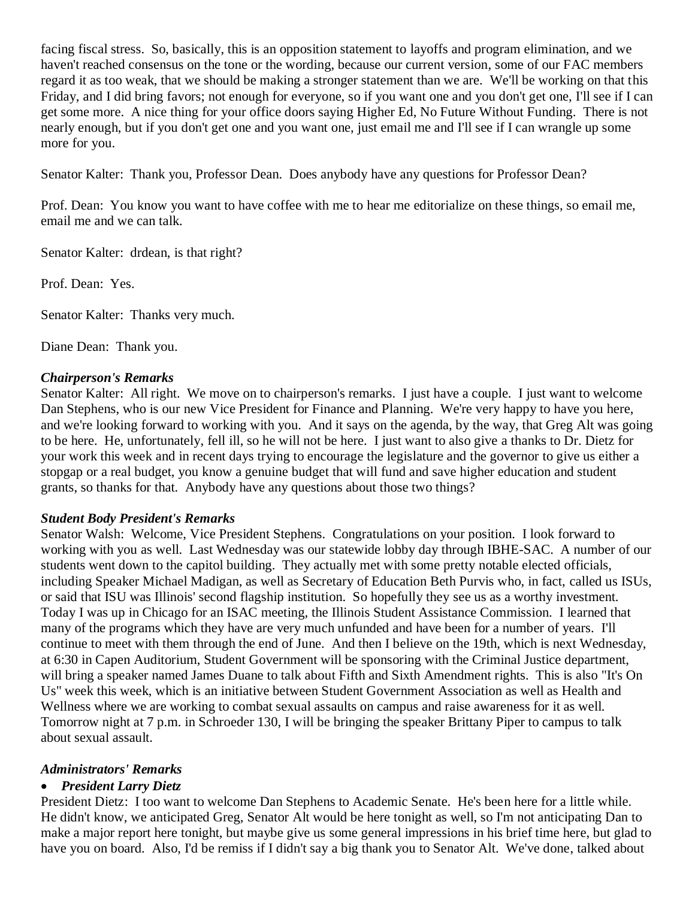facing fiscal stress. So, basically, this is an opposition statement to layoffs and program elimination, and we haven't reached consensus on the tone or the wording, because our current version, some of our FAC members regard it as too weak, that we should be making a stronger statement than we are. We'll be working on that this Friday, and I did bring favors; not enough for everyone, so if you want one and you don't get one, I'll see if I can get some more. A nice thing for your office doors saying Higher Ed, No Future Without Funding. There is not nearly enough, but if you don't get one and you want one, just email me and I'll see if I can wrangle up some more for you.

Senator Kalter: Thank you, Professor Dean. Does anybody have any questions for Professor Dean?

Prof. Dean: You know you want to have coffee with me to hear me editorialize on these things, so email me, email me and we can talk.

Senator Kalter: drdean, is that right?

Prof. Dean: Yes.

Senator Kalter: Thanks very much.

Diane Dean: Thank you.

#### *Chairperson's Remarks*

Senator Kalter: All right. We move on to chairperson's remarks. I just have a couple. I just want to welcome Dan Stephens, who is our new Vice President for Finance and Planning. We're very happy to have you here, and we're looking forward to working with you. And it says on the agenda, by the way, that Greg Alt was going to be here. He, unfortunately, fell ill, so he will not be here. I just want to also give a thanks to Dr. Dietz for your work this week and in recent days trying to encourage the legislature and the governor to give us either a stopgap or a real budget, you know a genuine budget that will fund and save higher education and student grants, so thanks for that. Anybody have any questions about those two things?

#### *Student Body President's Remarks*

Senator Walsh: Welcome, Vice President Stephens. Congratulations on your position. I look forward to working with you as well. Last Wednesday was our statewide lobby day through IBHE-SAC. A number of our students went down to the capitol building. They actually met with some pretty notable elected officials, including Speaker Michael Madigan, as well as Secretary of Education Beth Purvis who, in fact, called us ISUs, or said that ISU was Illinois' second flagship institution. So hopefully they see us as a worthy investment. Today I was up in Chicago for an ISAC meeting, the Illinois Student Assistance Commission. I learned that many of the programs which they have are very much unfunded and have been for a number of years. I'll continue to meet with them through the end of June. And then I believe on the 19th, which is next Wednesday, at 6:30 in Capen Auditorium, Student Government will be sponsoring with the Criminal Justice department, will bring a speaker named James Duane to talk about Fifth and Sixth Amendment rights. This is also "It's On Us" week this week, which is an initiative between Student Government Association as well as Health and Wellness where we are working to combat sexual assaults on campus and raise awareness for it as well. Tomorrow night at 7 p.m. in Schroeder 130, I will be bringing the speaker Brittany Piper to campus to talk about sexual assault.

#### *Administrators' Remarks*

#### • *President Larry Dietz*

President Dietz: I too want to welcome Dan Stephens to Academic Senate. He's been here for a little while. He didn't know, we anticipated Greg, Senator Alt would be here tonight as well, so I'm not anticipating Dan to make a major report here tonight, but maybe give us some general impressions in his brief time here, but glad to have you on board. Also, I'd be remiss if I didn't say a big thank you to Senator Alt. We've done, talked about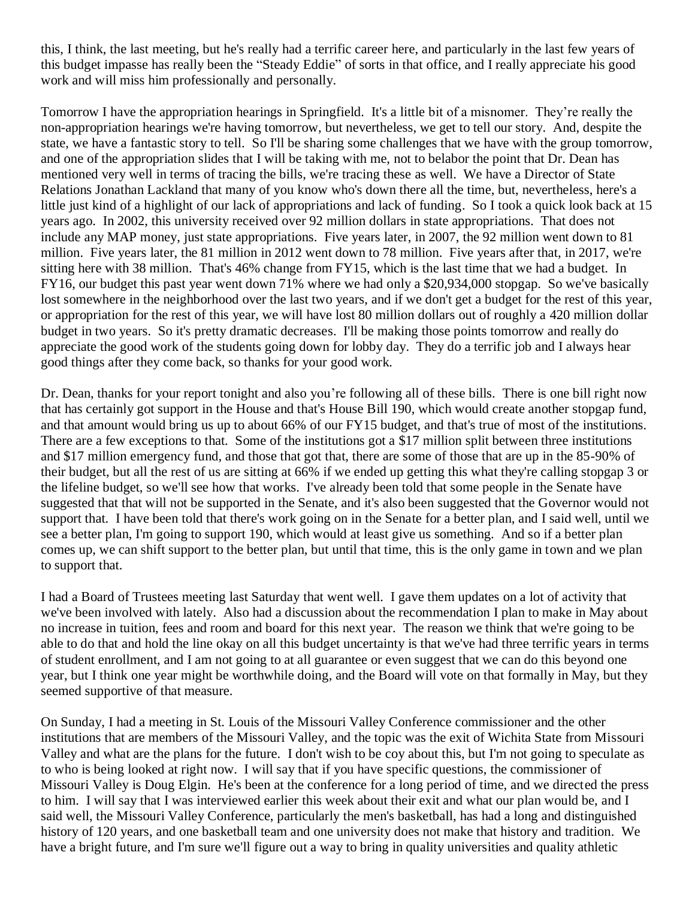this, I think, the last meeting, but he's really had a terrific career here, and particularly in the last few years of this budget impasse has really been the "Steady Eddie" of sorts in that office, and I really appreciate his good work and will miss him professionally and personally.

Tomorrow I have the appropriation hearings in Springfield. It's a little bit of a misnomer. They're really the non-appropriation hearings we're having tomorrow, but nevertheless, we get to tell our story. And, despite the state, we have a fantastic story to tell. So I'll be sharing some challenges that we have with the group tomorrow, and one of the appropriation slides that I will be taking with me, not to belabor the point that Dr. Dean has mentioned very well in terms of tracing the bills, we're tracing these as well. We have a Director of State Relations Jonathan Lackland that many of you know who's down there all the time, but, nevertheless, here's a little just kind of a highlight of our lack of appropriations and lack of funding. So I took a quick look back at 15 years ago. In 2002, this university received over 92 million dollars in state appropriations. That does not include any MAP money, just state appropriations. Five years later, in 2007, the 92 million went down to 81 million. Five years later, the 81 million in 2012 went down to 78 million. Five years after that, in 2017, we're sitting here with 38 million. That's 46% change from FY15, which is the last time that we had a budget. In FY16, our budget this past year went down 71% where we had only a \$20,934,000 stopgap. So we've basically lost somewhere in the neighborhood over the last two years, and if we don't get a budget for the rest of this year, or appropriation for the rest of this year, we will have lost 80 million dollars out of roughly a 420 million dollar budget in two years. So it's pretty dramatic decreases. I'll be making those points tomorrow and really do appreciate the good work of the students going down for lobby day. They do a terrific job and I always hear good things after they come back, so thanks for your good work.

Dr. Dean, thanks for your report tonight and also you're following all of these bills. There is one bill right now that has certainly got support in the House and that's House Bill 190, which would create another stopgap fund, and that amount would bring us up to about 66% of our FY15 budget, and that's true of most of the institutions. There are a few exceptions to that. Some of the institutions got a \$17 million split between three institutions and \$17 million emergency fund, and those that got that, there are some of those that are up in the 85-90% of their budget, but all the rest of us are sitting at 66% if we ended up getting this what they're calling stopgap 3 or the lifeline budget, so we'll see how that works. I've already been told that some people in the Senate have suggested that that will not be supported in the Senate, and it's also been suggested that the Governor would not support that. I have been told that there's work going on in the Senate for a better plan, and I said well, until we see a better plan, I'm going to support 190, which would at least give us something. And so if a better plan comes up, we can shift support to the better plan, but until that time, this is the only game in town and we plan to support that.

I had a Board of Trustees meeting last Saturday that went well. I gave them updates on a lot of activity that we've been involved with lately. Also had a discussion about the recommendation I plan to make in May about no increase in tuition, fees and room and board for this next year. The reason we think that we're going to be able to do that and hold the line okay on all this budget uncertainty is that we've had three terrific years in terms of student enrollment, and I am not going to at all guarantee or even suggest that we can do this beyond one year, but I think one year might be worthwhile doing, and the Board will vote on that formally in May, but they seemed supportive of that measure.

On Sunday, I had a meeting in St. Louis of the Missouri Valley Conference commissioner and the other institutions that are members of the Missouri Valley, and the topic was the exit of Wichita State from Missouri Valley and what are the plans for the future. I don't wish to be coy about this, but I'm not going to speculate as to who is being looked at right now. I will say that if you have specific questions, the commissioner of Missouri Valley is Doug Elgin. He's been at the conference for a long period of time, and we directed the press to him. I will say that I was interviewed earlier this week about their exit and what our plan would be, and I said well, the Missouri Valley Conference, particularly the men's basketball, has had a long and distinguished history of 120 years, and one basketball team and one university does not make that history and tradition. We have a bright future, and I'm sure we'll figure out a way to bring in quality universities and quality athletic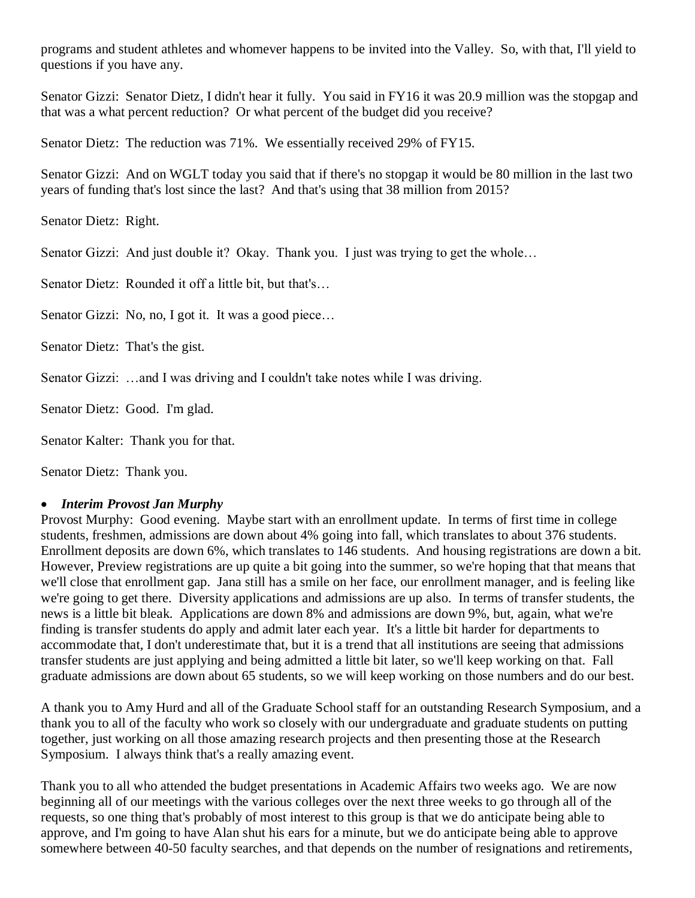programs and student athletes and whomever happens to be invited into the Valley. So, with that, I'll yield to questions if you have any.

Senator Gizzi: Senator Dietz, I didn't hear it fully. You said in FY16 it was 20.9 million was the stopgap and that was a what percent reduction? Or what percent of the budget did you receive?

Senator Dietz: The reduction was 71%. We essentially received 29% of FY15.

Senator Gizzi: And on WGLT today you said that if there's no stopgap it would be 80 million in the last two years of funding that's lost since the last? And that's using that 38 million from 2015?

Senator Dietz: Right.

Senator Gizzi: And just double it? Okay. Thank you. I just was trying to get the whole...

Senator Dietz: Rounded it off a little bit, but that's…

Senator Gizzi: No, no, I got it. It was a good piece...

Senator Dietz: That's the gist.

Senator Gizzi: …and I was driving and I couldn't take notes while I was driving.

Senator Dietz: Good. I'm glad.

Senator Kalter: Thank you for that.

Senator Dietz: Thank you.

#### • *Interim Provost Jan Murphy*

Provost Murphy: Good evening. Maybe start with an enrollment update. In terms of first time in college students, freshmen, admissions are down about 4% going into fall, which translates to about 376 students. Enrollment deposits are down 6%, which translates to 146 students. And housing registrations are down a bit. However, Preview registrations are up quite a bit going into the summer, so we're hoping that that means that we'll close that enrollment gap. Jana still has a smile on her face, our enrollment manager, and is feeling like we're going to get there. Diversity applications and admissions are up also. In terms of transfer students, the news is a little bit bleak. Applications are down 8% and admissions are down 9%, but, again, what we're finding is transfer students do apply and admit later each year. It's a little bit harder for departments to accommodate that, I don't underestimate that, but it is a trend that all institutions are seeing that admissions transfer students are just applying and being admitted a little bit later, so we'll keep working on that. Fall graduate admissions are down about 65 students, so we will keep working on those numbers and do our best.

A thank you to Amy Hurd and all of the Graduate School staff for an outstanding Research Symposium, and a thank you to all of the faculty who work so closely with our undergraduate and graduate students on putting together, just working on all those amazing research projects and then presenting those at the Research Symposium. I always think that's a really amazing event.

Thank you to all who attended the budget presentations in Academic Affairs two weeks ago. We are now beginning all of our meetings with the various colleges over the next three weeks to go through all of the requests, so one thing that's probably of most interest to this group is that we do anticipate being able to approve, and I'm going to have Alan shut his ears for a minute, but we do anticipate being able to approve somewhere between 40-50 faculty searches, and that depends on the number of resignations and retirements,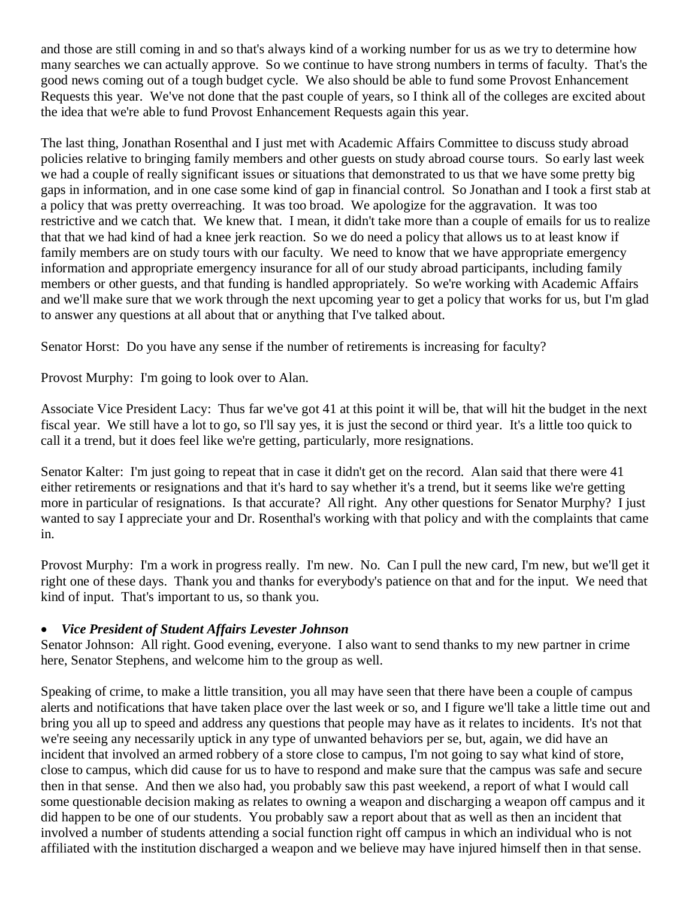and those are still coming in and so that's always kind of a working number for us as we try to determine how many searches we can actually approve. So we continue to have strong numbers in terms of faculty. That's the good news coming out of a tough budget cycle. We also should be able to fund some Provost Enhancement Requests this year. We've not done that the past couple of years, so I think all of the colleges are excited about the idea that we're able to fund Provost Enhancement Requests again this year.

The last thing, Jonathan Rosenthal and I just met with Academic Affairs Committee to discuss study abroad policies relative to bringing family members and other guests on study abroad course tours. So early last week we had a couple of really significant issues or situations that demonstrated to us that we have some pretty big gaps in information, and in one case some kind of gap in financial control. So Jonathan and I took a first stab at a policy that was pretty overreaching. It was too broad. We apologize for the aggravation. It was too restrictive and we catch that. We knew that. I mean, it didn't take more than a couple of emails for us to realize that that we had kind of had a knee jerk reaction. So we do need a policy that allows us to at least know if family members are on study tours with our faculty. We need to know that we have appropriate emergency information and appropriate emergency insurance for all of our study abroad participants, including family members or other guests, and that funding is handled appropriately. So we're working with Academic Affairs and we'll make sure that we work through the next upcoming year to get a policy that works for us, but I'm glad to answer any questions at all about that or anything that I've talked about.

Senator Horst: Do you have any sense if the number of retirements is increasing for faculty?

Provost Murphy: I'm going to look over to Alan.

Associate Vice President Lacy: Thus far we've got 41 at this point it will be, that will hit the budget in the next fiscal year. We still have a lot to go, so I'll say yes, it is just the second or third year. It's a little too quick to call it a trend, but it does feel like we're getting, particularly, more resignations.

Senator Kalter: I'm just going to repeat that in case it didn't get on the record. Alan said that there were 41 either retirements or resignations and that it's hard to say whether it's a trend, but it seems like we're getting more in particular of resignations. Is that accurate? All right. Any other questions for Senator Murphy? I just wanted to say I appreciate your and Dr. Rosenthal's working with that policy and with the complaints that came in.

Provost Murphy: I'm a work in progress really. I'm new. No. Can I pull the new card, I'm new, but we'll get it right one of these days. Thank you and thanks for everybody's patience on that and for the input. We need that kind of input. That's important to us, so thank you.

#### • *Vice President of Student Affairs Levester Johnson*

Senator Johnson: All right. Good evening, everyone. I also want to send thanks to my new partner in crime here, Senator Stephens, and welcome him to the group as well.

Speaking of crime, to make a little transition, you all may have seen that there have been a couple of campus alerts and notifications that have taken place over the last week or so, and I figure we'll take a little time out and bring you all up to speed and address any questions that people may have as it relates to incidents. It's not that we're seeing any necessarily uptick in any type of unwanted behaviors per se, but, again, we did have an incident that involved an armed robbery of a store close to campus, I'm not going to say what kind of store, close to campus, which did cause for us to have to respond and make sure that the campus was safe and secure then in that sense. And then we also had, you probably saw this past weekend, a report of what I would call some questionable decision making as relates to owning a weapon and discharging a weapon off campus and it did happen to be one of our students. You probably saw a report about that as well as then an incident that involved a number of students attending a social function right off campus in which an individual who is not affiliated with the institution discharged a weapon and we believe may have injured himself then in that sense.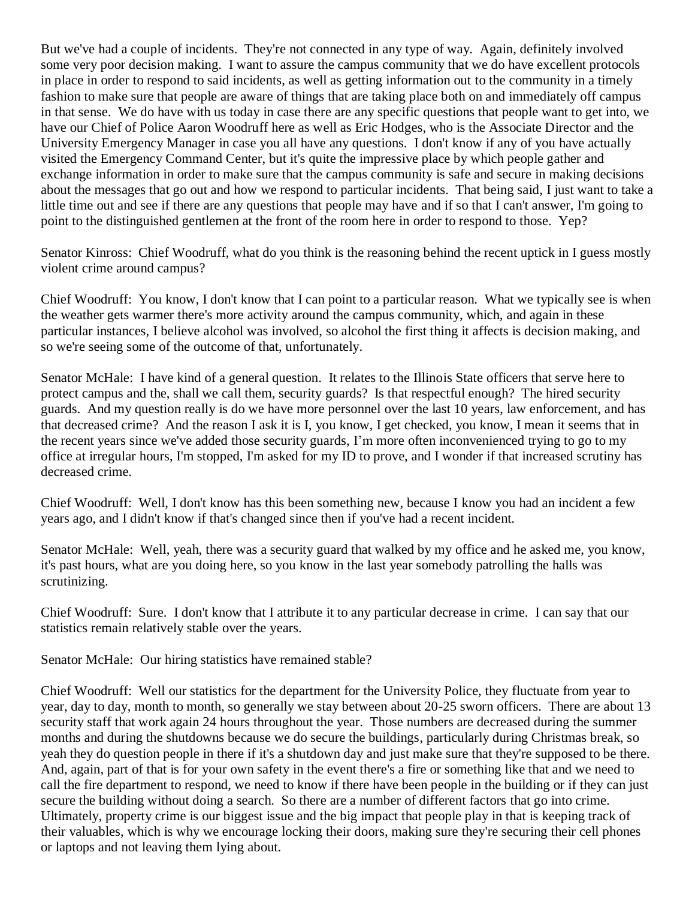But we've had a couple of incidents. They're not connected in any type of way. Again, definitely involved some very poor decision making. I want to assure the campus community that we do have excellent protocols in place in order to respond to said incidents, as well as getting information out to the community in a timely fashion to make sure that people are aware of things that are taking place both on and immediately off campus in that sense. We do have with us today in case there are any specific questions that people want to get into, we have our Chief of Police Aaron Woodruff here as well as Eric Hodges, who is the Associate Director and the University Emergency Manager in case you all have any questions. I don't know if any of you have actually visited the Emergency Command Center, but it's quite the impressive place by which people gather and exchange information in order to make sure that the campus community is safe and secure in making decisions about the messages that go out and how we respond to particular incidents. That being said, I just want to take a little time out and see if there are any questions that people may have and if so that I can't answer, I'm going to point to the distinguished gentlemen at the front of the room here in order to respond to those. Yep?

Senator Kinross: Chief Woodruff, what do you think is the reasoning behind the recent uptick in I guess mostly violent crime around campus?

Chief Woodruff: You know, I don't know that I can point to a particular reason. What we typically see is when the weather gets warmer there's more activity around the campus community, which, and again in these particular instances, I believe alcohol was involved, so alcohol the first thing it affects is decision making, and so we're seeing some of the outcome of that, unfortunately.

Senator McHale: I have kind of a general question. It relates to the Illinois State officers that serve here to protect campus and the, shall we call them, security guards? Is that respectful enough? The hired security guards. And my question really is do we have more personnel over the last 10 years, law enforcement, and has that decreased crime? And the reason I ask it is I, you know, I get checked, you know, I mean it seems that in the recent years since we've added those security guards, I'm more often inconvenienced trying to go to my office at irregular hours, I'm stopped, I'm asked for my ID to prove, and I wonder if that increased scrutiny has decreased crime.

Chief Woodruff: Well, I don't know has this been something new, because I know you had an incident a few years ago, and I didn't know if that's changed since then if you've had a recent incident.

Senator McHale: Well, yeah, there was a security guard that walked by my office and he asked me, you know, it's past hours, what are you doing here, so you know in the last year somebody patrolling the halls was scrutinizing.

Chief Woodruff: Sure. I don't know that I attribute it to any particular decrease in crime. I can say that our statistics remain relatively stable over the years.

Senator McHale: Our hiring statistics have remained stable?

Chief Woodruff: Well our statistics for the department for the University Police, they fluctuate from year to year, day to day, month to month, so generally we stay between about 20-25 sworn officers. There are about 13 security staff that work again 24 hours throughout the year. Those numbers are decreased during the summer months and during the shutdowns because we do secure the buildings, particularly during Christmas break, so yeah they do question people in there if it's a shutdown day and just make sure that they're supposed to be there. And, again, part of that is for your own safety in the event there's a fire or something like that and we need to call the fire department to respond, we need to know if there have been people in the building or if they can just secure the building without doing a search. So there are a number of different factors that go into crime. Ultimately, property crime is our biggest issue and the big impact that people play in that is keeping track of their valuables, which is why we encourage locking their doors, making sure they're securing their cell phones or laptops and not leaving them lying about.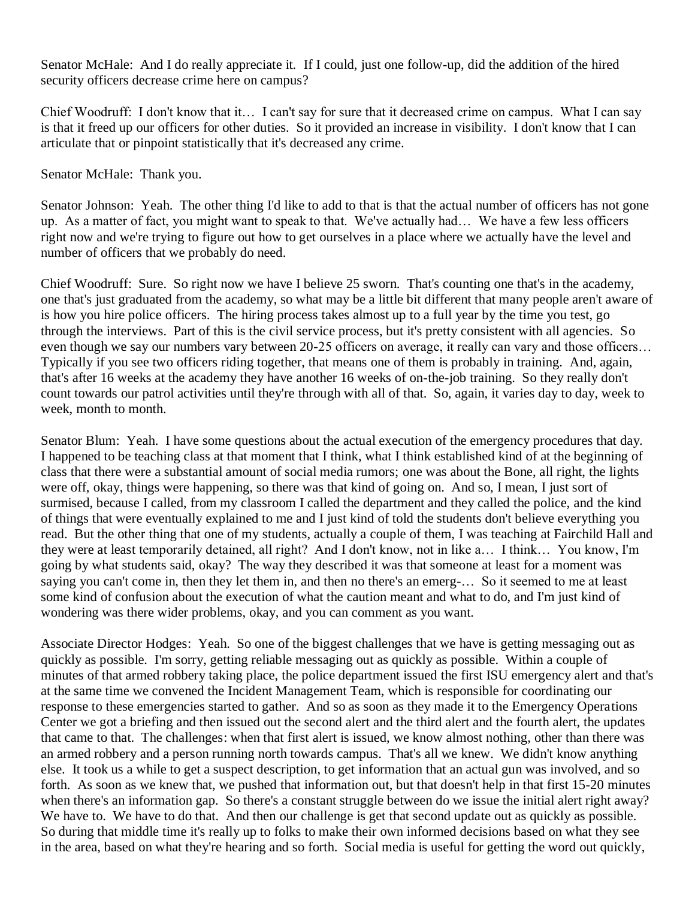Senator McHale: And I do really appreciate it. If I could, just one follow-up, did the addition of the hired security officers decrease crime here on campus?

Chief Woodruff: I don't know that it… I can't say for sure that it decreased crime on campus. What I can say is that it freed up our officers for other duties. So it provided an increase in visibility. I don't know that I can articulate that or pinpoint statistically that it's decreased any crime.

Senator McHale: Thank you.

Senator Johnson: Yeah. The other thing I'd like to add to that is that the actual number of officers has not gone up. As a matter of fact, you might want to speak to that. We've actually had… We have a few less officers right now and we're trying to figure out how to get ourselves in a place where we actually have the level and number of officers that we probably do need.

Chief Woodruff: Sure. So right now we have I believe 25 sworn. That's counting one that's in the academy, one that's just graduated from the academy, so what may be a little bit different that many people aren't aware of is how you hire police officers. The hiring process takes almost up to a full year by the time you test, go through the interviews. Part of this is the civil service process, but it's pretty consistent with all agencies. So even though we say our numbers vary between 20-25 officers on average, it really can vary and those officers… Typically if you see two officers riding together, that means one of them is probably in training. And, again, that's after 16 weeks at the academy they have another 16 weeks of on-the-job training. So they really don't count towards our patrol activities until they're through with all of that. So, again, it varies day to day, week to week, month to month.

Senator Blum: Yeah. I have some questions about the actual execution of the emergency procedures that day. I happened to be teaching class at that moment that I think, what I think established kind of at the beginning of class that there were a substantial amount of social media rumors; one was about the Bone, all right, the lights were off, okay, things were happening, so there was that kind of going on. And so, I mean, I just sort of surmised, because I called, from my classroom I called the department and they called the police, and the kind of things that were eventually explained to me and I just kind of told the students don't believe everything you read. But the other thing that one of my students, actually a couple of them, I was teaching at Fairchild Hall and they were at least temporarily detained, all right? And I don't know, not in like a… I think… You know, I'm going by what students said, okay? The way they described it was that someone at least for a moment was saying you can't come in, then they let them in, and then no there's an emerg-… So it seemed to me at least some kind of confusion about the execution of what the caution meant and what to do, and I'm just kind of wondering was there wider problems, okay, and you can comment as you want.

Associate Director Hodges: Yeah. So one of the biggest challenges that we have is getting messaging out as quickly as possible. I'm sorry, getting reliable messaging out as quickly as possible. Within a couple of minutes of that armed robbery taking place, the police department issued the first ISU emergency alert and that's at the same time we convened the Incident Management Team, which is responsible for coordinating our response to these emergencies started to gather. And so as soon as they made it to the Emergency Operations Center we got a briefing and then issued out the second alert and the third alert and the fourth alert, the updates that came to that. The challenges: when that first alert is issued, we know almost nothing, other than there was an armed robbery and a person running north towards campus. That's all we knew. We didn't know anything else. It took us a while to get a suspect description, to get information that an actual gun was involved, and so forth. As soon as we knew that, we pushed that information out, but that doesn't help in that first 15-20 minutes when there's an information gap. So there's a constant struggle between do we issue the initial alert right away? We have to. We have to do that. And then our challenge is get that second update out as quickly as possible. So during that middle time it's really up to folks to make their own informed decisions based on what they see in the area, based on what they're hearing and so forth. Social media is useful for getting the word out quickly,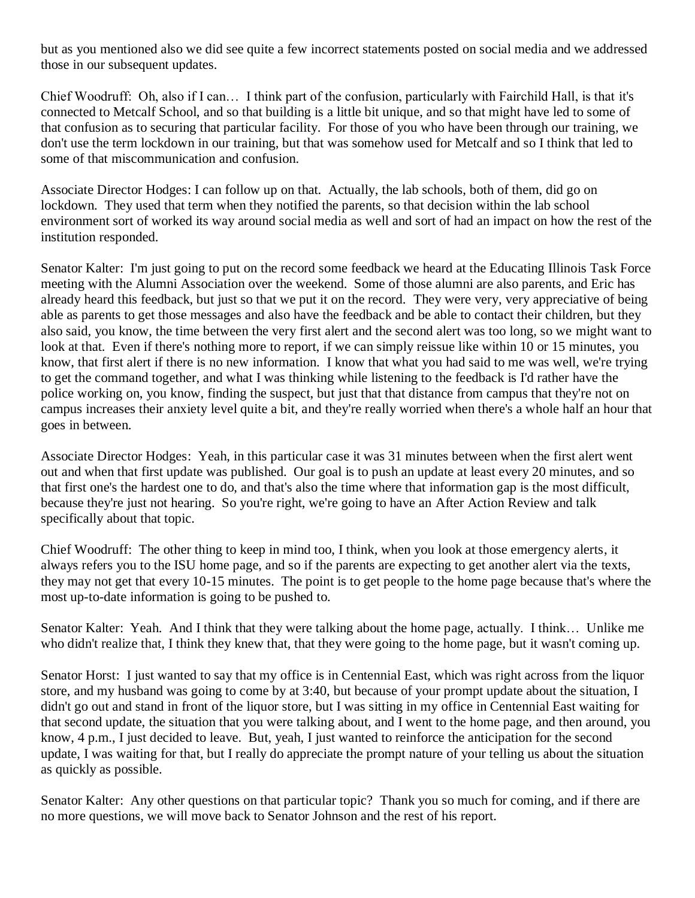but as you mentioned also we did see quite a few incorrect statements posted on social media and we addressed those in our subsequent updates.

Chief Woodruff: Oh, also if I can… I think part of the confusion, particularly with Fairchild Hall, is that it's connected to Metcalf School, and so that building is a little bit unique, and so that might have led to some of that confusion as to securing that particular facility. For those of you who have been through our training, we don't use the term lockdown in our training, but that was somehow used for Metcalf and so I think that led to some of that miscommunication and confusion.

Associate Director Hodges: I can follow up on that. Actually, the lab schools, both of them, did go on lockdown. They used that term when they notified the parents, so that decision within the lab school environment sort of worked its way around social media as well and sort of had an impact on how the rest of the institution responded.

Senator Kalter: I'm just going to put on the record some feedback we heard at the Educating Illinois Task Force meeting with the Alumni Association over the weekend. Some of those alumni are also parents, and Eric has already heard this feedback, but just so that we put it on the record. They were very, very appreciative of being able as parents to get those messages and also have the feedback and be able to contact their children, but they also said, you know, the time between the very first alert and the second alert was too long, so we might want to look at that. Even if there's nothing more to report, if we can simply reissue like within 10 or 15 minutes, you know, that first alert if there is no new information. I know that what you had said to me was well, we're trying to get the command together, and what I was thinking while listening to the feedback is I'd rather have the police working on, you know, finding the suspect, but just that that distance from campus that they're not on campus increases their anxiety level quite a bit, and they're really worried when there's a whole half an hour that goes in between.

Associate Director Hodges: Yeah, in this particular case it was 31 minutes between when the first alert went out and when that first update was published. Our goal is to push an update at least every 20 minutes, and so that first one's the hardest one to do, and that's also the time where that information gap is the most difficult, because they're just not hearing. So you're right, we're going to have an After Action Review and talk specifically about that topic.

Chief Woodruff: The other thing to keep in mind too, I think, when you look at those emergency alerts, it always refers you to the ISU home page, and so if the parents are expecting to get another alert via the texts, they may not get that every 10-15 minutes. The point is to get people to the home page because that's where the most up-to-date information is going to be pushed to.

Senator Kalter: Yeah. And I think that they were talking about the home page, actually. I think… Unlike me who didn't realize that, I think they knew that, that they were going to the home page, but it wasn't coming up.

Senator Horst: I just wanted to say that my office is in Centennial East, which was right across from the liquor store, and my husband was going to come by at 3:40, but because of your prompt update about the situation, I didn't go out and stand in front of the liquor store, but I was sitting in my office in Centennial East waiting for that second update, the situation that you were talking about, and I went to the home page, and then around, you know, 4 p.m., I just decided to leave. But, yeah, I just wanted to reinforce the anticipation for the second update, I was waiting for that, but I really do appreciate the prompt nature of your telling us about the situation as quickly as possible.

Senator Kalter: Any other questions on that particular topic? Thank you so much for coming, and if there are no more questions, we will move back to Senator Johnson and the rest of his report.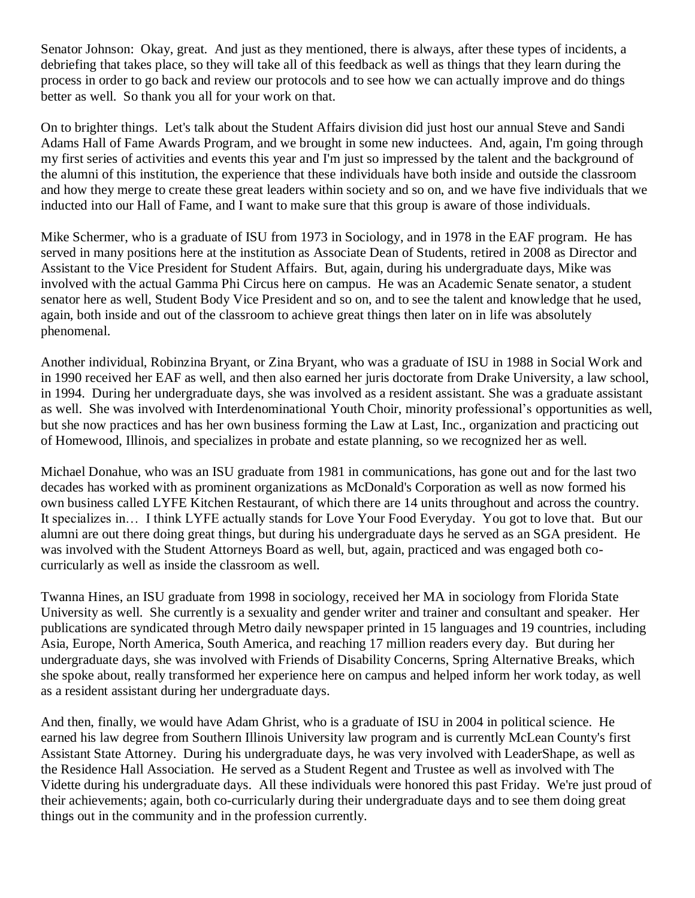Senator Johnson: Okay, great. And just as they mentioned, there is always, after these types of incidents, a debriefing that takes place, so they will take all of this feedback as well as things that they learn during the process in order to go back and review our protocols and to see how we can actually improve and do things better as well. So thank you all for your work on that.

On to brighter things. Let's talk about the Student Affairs division did just host our annual Steve and Sandi Adams Hall of Fame Awards Program, and we brought in some new inductees. And, again, I'm going through my first series of activities and events this year and I'm just so impressed by the talent and the background of the alumni of this institution, the experience that these individuals have both inside and outside the classroom and how they merge to create these great leaders within society and so on, and we have five individuals that we inducted into our Hall of Fame, and I want to make sure that this group is aware of those individuals.

Mike Schermer, who is a graduate of ISU from 1973 in Sociology, and in 1978 in the EAF program. He has served in many positions here at the institution as Associate Dean of Students, retired in 2008 as Director and Assistant to the Vice President for Student Affairs. But, again, during his undergraduate days, Mike was involved with the actual Gamma Phi Circus here on campus. He was an Academic Senate senator, a student senator here as well, Student Body Vice President and so on, and to see the talent and knowledge that he used, again, both inside and out of the classroom to achieve great things then later on in life was absolutely phenomenal.

Another individual, Robinzina Bryant, or Zina Bryant, who was a graduate of ISU in 1988 in Social Work and in 1990 received her EAF as well, and then also earned her juris doctorate from Drake University, a law school, in 1994. During her undergraduate days, she was involved as a resident assistant. She was a graduate assistant as well. She was involved with Interdenominational Youth Choir, minority professional's opportunities as well, but she now practices and has her own business forming the Law at Last, Inc., organization and practicing out of Homewood, Illinois, and specializes in probate and estate planning, so we recognized her as well.

Michael Donahue, who was an ISU graduate from 1981 in communications, has gone out and for the last two decades has worked with as prominent organizations as McDonald's Corporation as well as now formed his own business called LYFE Kitchen Restaurant, of which there are 14 units throughout and across the country. It specializes in… I think LYFE actually stands for Love Your Food Everyday. You got to love that. But our alumni are out there doing great things, but during his undergraduate days he served as an SGA president. He was involved with the Student Attorneys Board as well, but, again, practiced and was engaged both cocurricularly as well as inside the classroom as well.

Twanna Hines, an ISU graduate from 1998 in sociology, received her MA in sociology from Florida State University as well. She currently is a sexuality and gender writer and trainer and consultant and speaker. Her publications are syndicated through Metro daily newspaper printed in 15 languages and 19 countries, including Asia, Europe, North America, South America, and reaching 17 million readers every day. But during her undergraduate days, she was involved with Friends of Disability Concerns, Spring Alternative Breaks, which she spoke about, really transformed her experience here on campus and helped inform her work today, as well as a resident assistant during her undergraduate days.

And then, finally, we would have Adam Ghrist, who is a graduate of ISU in 2004 in political science. He earned his law degree from Southern Illinois University law program and is currently McLean County's first Assistant State Attorney. During his undergraduate days, he was very involved with LeaderShape, as well as the Residence Hall Association. He served as a Student Regent and Trustee as well as involved with The Vidette during his undergraduate days. All these individuals were honored this past Friday. We're just proud of their achievements; again, both co-curricularly during their undergraduate days and to see them doing great things out in the community and in the profession currently.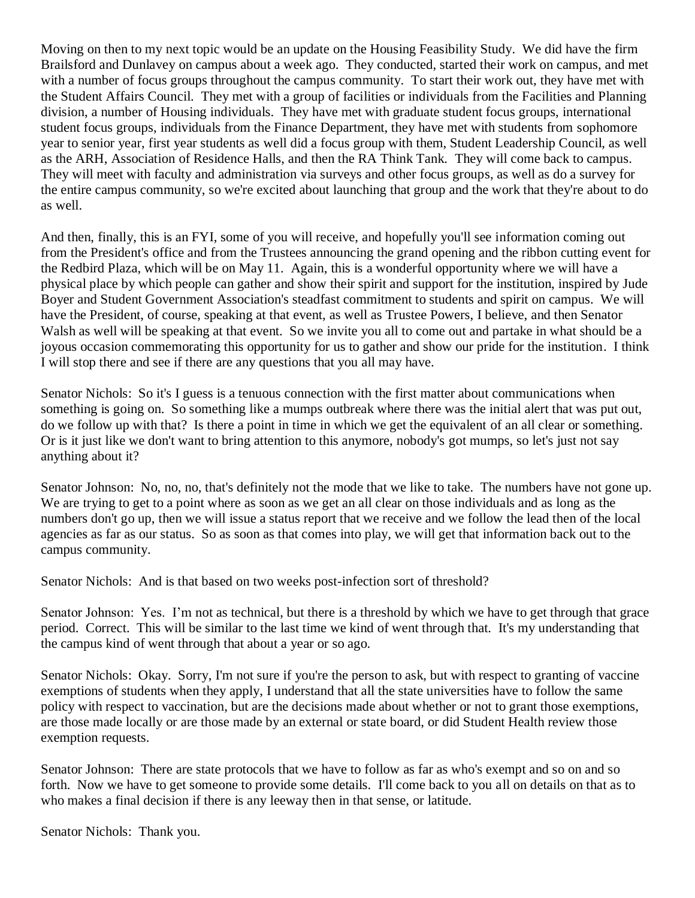Moving on then to my next topic would be an update on the Housing Feasibility Study. We did have the firm Brailsford and Dunlavey on campus about a week ago. They conducted, started their work on campus, and met with a number of focus groups throughout the campus community. To start their work out, they have met with the Student Affairs Council. They met with a group of facilities or individuals from the Facilities and Planning division, a number of Housing individuals. They have met with graduate student focus groups, international student focus groups, individuals from the Finance Department, they have met with students from sophomore year to senior year, first year students as well did a focus group with them, Student Leadership Council, as well as the ARH, Association of Residence Halls, and then the RA Think Tank. They will come back to campus. They will meet with faculty and administration via surveys and other focus groups, as well as do a survey for the entire campus community, so we're excited about launching that group and the work that they're about to do as well.

And then, finally, this is an FYI, some of you will receive, and hopefully you'll see information coming out from the President's office and from the Trustees announcing the grand opening and the ribbon cutting event for the Redbird Plaza, which will be on May 11. Again, this is a wonderful opportunity where we will have a physical place by which people can gather and show their spirit and support for the institution, inspired by Jude Boyer and Student Government Association's steadfast commitment to students and spirit on campus. We will have the President, of course, speaking at that event, as well as Trustee Powers, I believe, and then Senator Walsh as well will be speaking at that event. So we invite you all to come out and partake in what should be a joyous occasion commemorating this opportunity for us to gather and show our pride for the institution. I think I will stop there and see if there are any questions that you all may have.

Senator Nichols: So it's I guess is a tenuous connection with the first matter about communications when something is going on. So something like a mumps outbreak where there was the initial alert that was put out, do we follow up with that? Is there a point in time in which we get the equivalent of an all clear or something. Or is it just like we don't want to bring attention to this anymore, nobody's got mumps, so let's just not say anything about it?

Senator Johnson: No, no, no, that's definitely not the mode that we like to take. The numbers have not gone up. We are trying to get to a point where as soon as we get an all clear on those individuals and as long as the numbers don't go up, then we will issue a status report that we receive and we follow the lead then of the local agencies as far as our status. So as soon as that comes into play, we will get that information back out to the campus community.

Senator Nichols: And is that based on two weeks post-infection sort of threshold?

Senator Johnson: Yes. I'm not as technical, but there is a threshold by which we have to get through that grace period. Correct. This will be similar to the last time we kind of went through that. It's my understanding that the campus kind of went through that about a year or so ago.

Senator Nichols: Okay. Sorry, I'm not sure if you're the person to ask, but with respect to granting of vaccine exemptions of students when they apply, I understand that all the state universities have to follow the same policy with respect to vaccination, but are the decisions made about whether or not to grant those exemptions, are those made locally or are those made by an external or state board, or did Student Health review those exemption requests.

Senator Johnson: There are state protocols that we have to follow as far as who's exempt and so on and so forth. Now we have to get someone to provide some details. I'll come back to you all on details on that as to who makes a final decision if there is any leeway then in that sense, or latitude.

Senator Nichols: Thank you.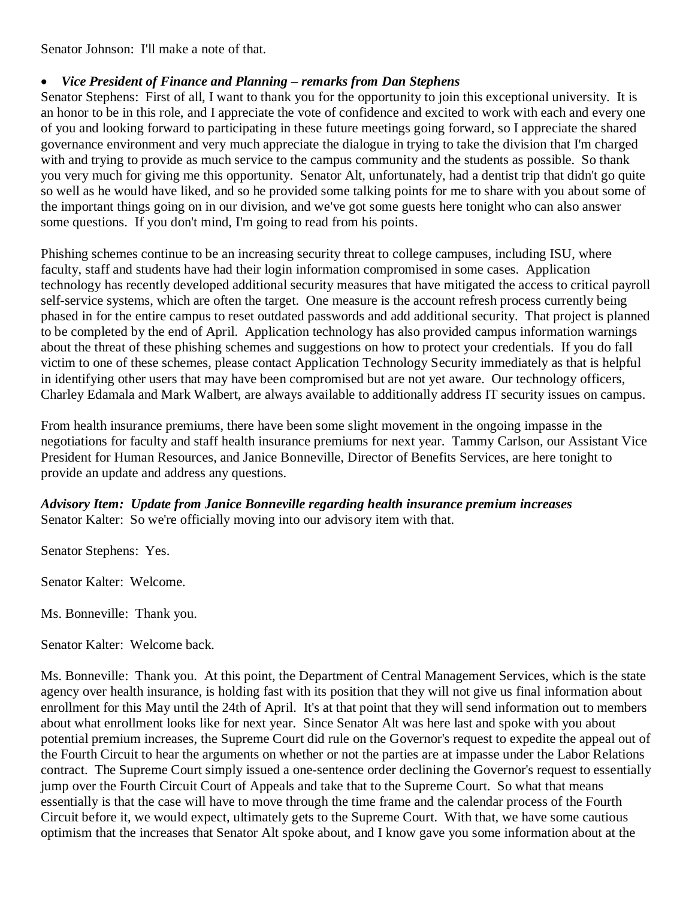Senator Johnson: I'll make a note of that.

#### • *Vice President of Finance and Planning – remarks from Dan Stephens*

Senator Stephens: First of all, I want to thank you for the opportunity to join this exceptional university. It is an honor to be in this role, and I appreciate the vote of confidence and excited to work with each and every one of you and looking forward to participating in these future meetings going forward, so I appreciate the shared governance environment and very much appreciate the dialogue in trying to take the division that I'm charged with and trying to provide as much service to the campus community and the students as possible. So thank you very much for giving me this opportunity. Senator Alt, unfortunately, had a dentist trip that didn't go quite so well as he would have liked, and so he provided some talking points for me to share with you about some of the important things going on in our division, and we've got some guests here tonight who can also answer some questions. If you don't mind, I'm going to read from his points.

Phishing schemes continue to be an increasing security threat to college campuses, including ISU, where faculty, staff and students have had their login information compromised in some cases. Application technology has recently developed additional security measures that have mitigated the access to critical payroll self-service systems, which are often the target. One measure is the account refresh process currently being phased in for the entire campus to reset outdated passwords and add additional security. That project is planned to be completed by the end of April. Application technology has also provided campus information warnings about the threat of these phishing schemes and suggestions on how to protect your credentials. If you do fall victim to one of these schemes, please contact Application Technology Security immediately as that is helpful in identifying other users that may have been compromised but are not yet aware. Our technology officers, Charley Edamala and Mark Walbert, are always available to additionally address IT security issues on campus.

From health insurance premiums, there have been some slight movement in the ongoing impasse in the negotiations for faculty and staff health insurance premiums for next year. Tammy Carlson, our Assistant Vice President for Human Resources, and Janice Bonneville, Director of Benefits Services, are here tonight to provide an update and address any questions.

*Advisory Item: Update from Janice Bonneville regarding health insurance premium increases* Senator Kalter: So we're officially moving into our advisory item with that.

Senator Stephens: Yes.

Senator Kalter: Welcome.

Ms. Bonneville: Thank you.

Senator Kalter: Welcome back.

Ms. Bonneville: Thank you. At this point, the Department of Central Management Services, which is the state agency over health insurance, is holding fast with its position that they will not give us final information about enrollment for this May until the 24th of April. It's at that point that they will send information out to members about what enrollment looks like for next year. Since Senator Alt was here last and spoke with you about potential premium increases, the Supreme Court did rule on the Governor's request to expedite the appeal out of the Fourth Circuit to hear the arguments on whether or not the parties are at impasse under the Labor Relations contract. The Supreme Court simply issued a one-sentence order declining the Governor's request to essentially jump over the Fourth Circuit Court of Appeals and take that to the Supreme Court. So what that means essentially is that the case will have to move through the time frame and the calendar process of the Fourth Circuit before it, we would expect, ultimately gets to the Supreme Court. With that, we have some cautious optimism that the increases that Senator Alt spoke about, and I know gave you some information about at the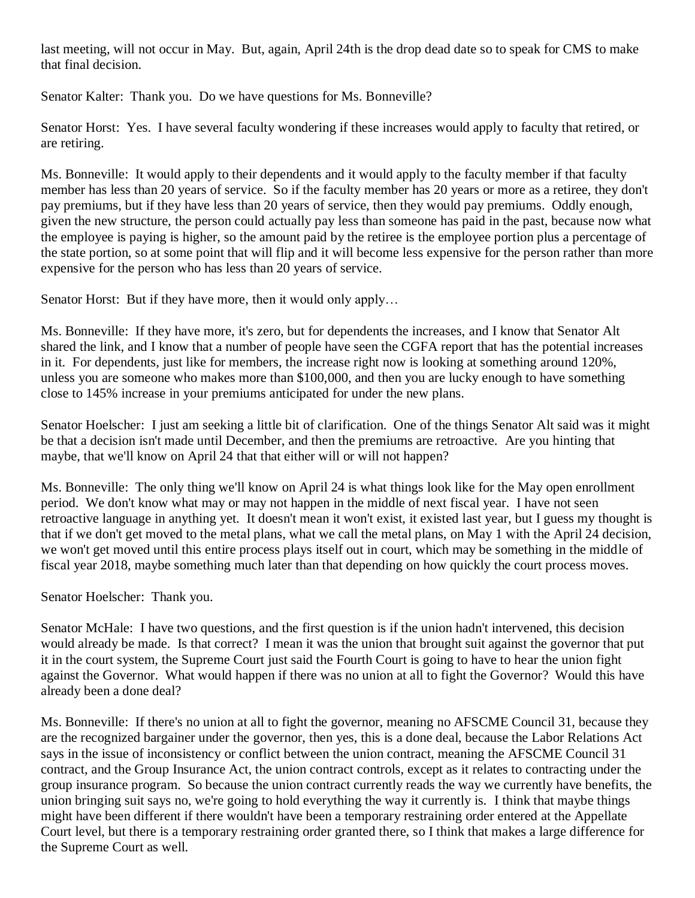last meeting, will not occur in May. But, again, April 24th is the drop dead date so to speak for CMS to make that final decision.

Senator Kalter: Thank you. Do we have questions for Ms. Bonneville?

Senator Horst: Yes. I have several faculty wondering if these increases would apply to faculty that retired, or are retiring.

Ms. Bonneville: It would apply to their dependents and it would apply to the faculty member if that faculty member has less than 20 years of service. So if the faculty member has 20 years or more as a retiree, they don't pay premiums, but if they have less than 20 years of service, then they would pay premiums. Oddly enough, given the new structure, the person could actually pay less than someone has paid in the past, because now what the employee is paying is higher, so the amount paid by the retiree is the employee portion plus a percentage of the state portion, so at some point that will flip and it will become less expensive for the person rather than more expensive for the person who has less than 20 years of service.

Senator Horst: But if they have more, then it would only apply...

Ms. Bonneville: If they have more, it's zero, but for dependents the increases, and I know that Senator Alt shared the link, and I know that a number of people have seen the CGFA report that has the potential increases in it. For dependents, just like for members, the increase right now is looking at something around 120%, unless you are someone who makes more than \$100,000, and then you are lucky enough to have something close to 145% increase in your premiums anticipated for under the new plans.

Senator Hoelscher: I just am seeking a little bit of clarification. One of the things Senator Alt said was it might be that a decision isn't made until December, and then the premiums are retroactive. Are you hinting that maybe, that we'll know on April 24 that that either will or will not happen?

Ms. Bonneville: The only thing we'll know on April 24 is what things look like for the May open enrollment period. We don't know what may or may not happen in the middle of next fiscal year. I have not seen retroactive language in anything yet. It doesn't mean it won't exist, it existed last year, but I guess my thought is that if we don't get moved to the metal plans, what we call the metal plans, on May 1 with the April 24 decision, we won't get moved until this entire process plays itself out in court, which may be something in the middle of fiscal year 2018, maybe something much later than that depending on how quickly the court process moves.

Senator Hoelscher: Thank you.

Senator McHale: I have two questions, and the first question is if the union hadn't intervened, this decision would already be made. Is that correct? I mean it was the union that brought suit against the governor that put it in the court system, the Supreme Court just said the Fourth Court is going to have to hear the union fight against the Governor. What would happen if there was no union at all to fight the Governor? Would this have already been a done deal?

Ms. Bonneville: If there's no union at all to fight the governor, meaning no AFSCME Council 31, because they are the recognized bargainer under the governor, then yes, this is a done deal, because the Labor Relations Act says in the issue of inconsistency or conflict between the union contract, meaning the AFSCME Council 31 contract, and the Group Insurance Act, the union contract controls, except as it relates to contracting under the group insurance program. So because the union contract currently reads the way we currently have benefits, the union bringing suit says no, we're going to hold everything the way it currently is. I think that maybe things might have been different if there wouldn't have been a temporary restraining order entered at the Appellate Court level, but there is a temporary restraining order granted there, so I think that makes a large difference for the Supreme Court as well.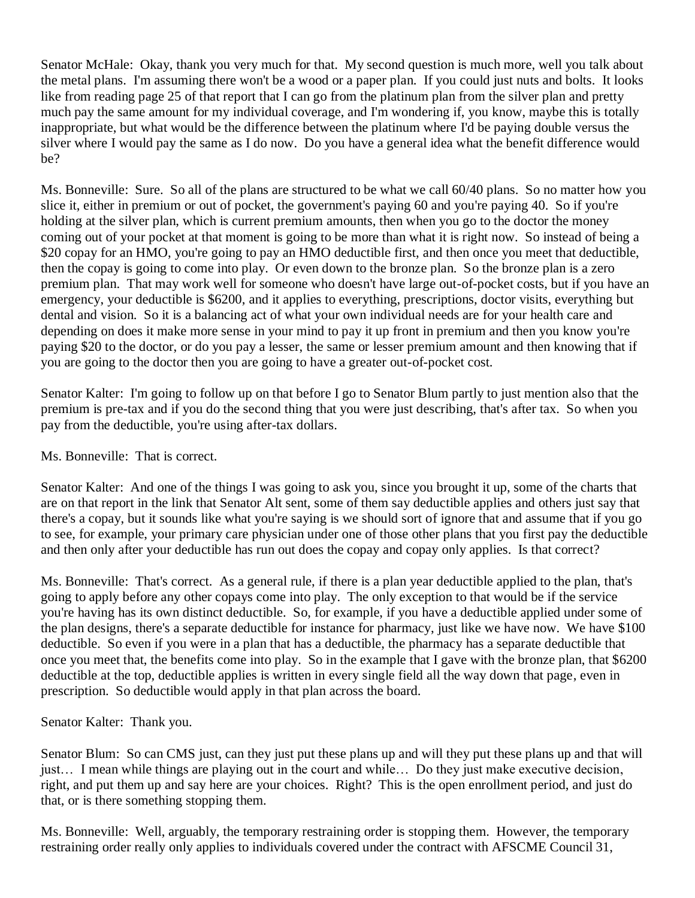Senator McHale: Okay, thank you very much for that. My second question is much more, well you talk about the metal plans. I'm assuming there won't be a wood or a paper plan. If you could just nuts and bolts. It looks like from reading page 25 of that report that I can go from the platinum plan from the silver plan and pretty much pay the same amount for my individual coverage, and I'm wondering if, you know, maybe this is totally inappropriate, but what would be the difference between the platinum where I'd be paying double versus the silver where I would pay the same as I do now. Do you have a general idea what the benefit difference would be?

Ms. Bonneville: Sure. So all of the plans are structured to be what we call 60/40 plans. So no matter how you slice it, either in premium or out of pocket, the government's paying 60 and you're paying 40. So if you're holding at the silver plan, which is current premium amounts, then when you go to the doctor the money coming out of your pocket at that moment is going to be more than what it is right now. So instead of being a \$20 copay for an HMO, you're going to pay an HMO deductible first, and then once you meet that deductible, then the copay is going to come into play. Or even down to the bronze plan. So the bronze plan is a zero premium plan. That may work well for someone who doesn't have large out-of-pocket costs, but if you have an emergency, your deductible is \$6200, and it applies to everything, prescriptions, doctor visits, everything but dental and vision. So it is a balancing act of what your own individual needs are for your health care and depending on does it make more sense in your mind to pay it up front in premium and then you know you're paying \$20 to the doctor, or do you pay a lesser, the same or lesser premium amount and then knowing that if you are going to the doctor then you are going to have a greater out-of-pocket cost.

Senator Kalter: I'm going to follow up on that before I go to Senator Blum partly to just mention also that the premium is pre-tax and if you do the second thing that you were just describing, that's after tax. So when you pay from the deductible, you're using after-tax dollars.

#### Ms. Bonneville: That is correct.

Senator Kalter: And one of the things I was going to ask you, since you brought it up, some of the charts that are on that report in the link that Senator Alt sent, some of them say deductible applies and others just say that there's a copay, but it sounds like what you're saying is we should sort of ignore that and assume that if you go to see, for example, your primary care physician under one of those other plans that you first pay the deductible and then only after your deductible has run out does the copay and copay only applies. Is that correct?

Ms. Bonneville: That's correct. As a general rule, if there is a plan year deductible applied to the plan, that's going to apply before any other copays come into play. The only exception to that would be if the service you're having has its own distinct deductible. So, for example, if you have a deductible applied under some of the plan designs, there's a separate deductible for instance for pharmacy, just like we have now. We have \$100 deductible. So even if you were in a plan that has a deductible, the pharmacy has a separate deductible that once you meet that, the benefits come into play. So in the example that I gave with the bronze plan, that \$6200 deductible at the top, deductible applies is written in every single field all the way down that page, even in prescription. So deductible would apply in that plan across the board.

Senator Kalter: Thank you.

Senator Blum: So can CMS just, can they just put these plans up and will they put these plans up and that will just… I mean while things are playing out in the court and while… Do they just make executive decision, right, and put them up and say here are your choices. Right? This is the open enrollment period, and just do that, or is there something stopping them.

Ms. Bonneville: Well, arguably, the temporary restraining order is stopping them. However, the temporary restraining order really only applies to individuals covered under the contract with AFSCME Council 31,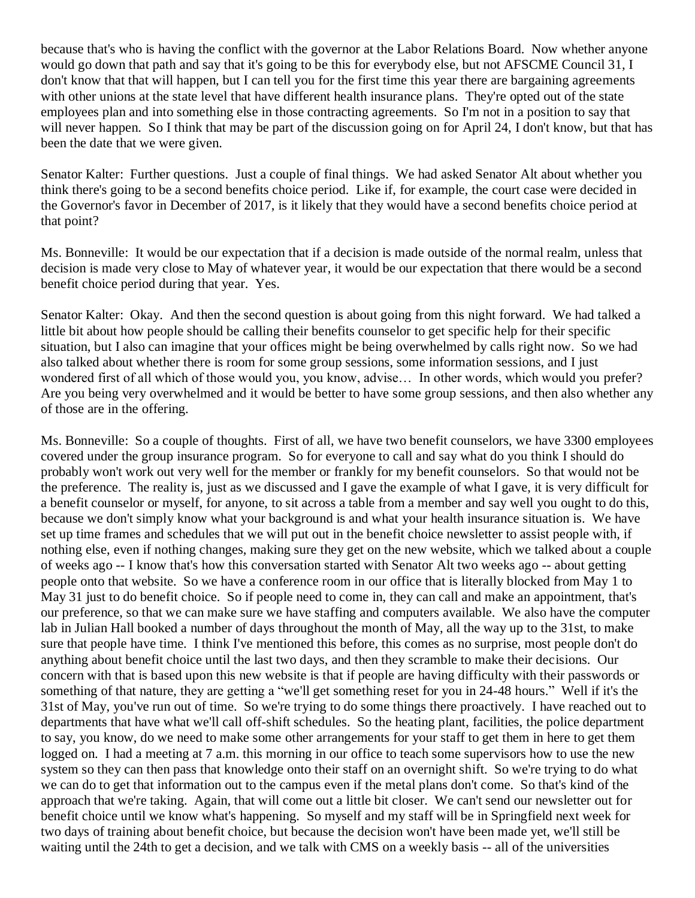because that's who is having the conflict with the governor at the Labor Relations Board. Now whether anyone would go down that path and say that it's going to be this for everybody else, but not AFSCME Council 31, I don't know that that will happen, but I can tell you for the first time this year there are bargaining agreements with other unions at the state level that have different health insurance plans. They're opted out of the state employees plan and into something else in those contracting agreements. So I'm not in a position to say that will never happen. So I think that may be part of the discussion going on for April 24, I don't know, but that has been the date that we were given.

Senator Kalter: Further questions. Just a couple of final things. We had asked Senator Alt about whether you think there's going to be a second benefits choice period. Like if, for example, the court case were decided in the Governor's favor in December of 2017, is it likely that they would have a second benefits choice period at that point?

Ms. Bonneville: It would be our expectation that if a decision is made outside of the normal realm, unless that decision is made very close to May of whatever year, it would be our expectation that there would be a second benefit choice period during that year. Yes.

Senator Kalter: Okay. And then the second question is about going from this night forward. We had talked a little bit about how people should be calling their benefits counselor to get specific help for their specific situation, but I also can imagine that your offices might be being overwhelmed by calls right now. So we had also talked about whether there is room for some group sessions, some information sessions, and I just wondered first of all which of those would you, you know, advise… In other words, which would you prefer? Are you being very overwhelmed and it would be better to have some group sessions, and then also whether any of those are in the offering.

Ms. Bonneville: So a couple of thoughts. First of all, we have two benefit counselors, we have 3300 employees covered under the group insurance program. So for everyone to call and say what do you think I should do probably won't work out very well for the member or frankly for my benefit counselors. So that would not be the preference. The reality is, just as we discussed and I gave the example of what I gave, it is very difficult for a benefit counselor or myself, for anyone, to sit across a table from a member and say well you ought to do this, because we don't simply know what your background is and what your health insurance situation is. We have set up time frames and schedules that we will put out in the benefit choice newsletter to assist people with, if nothing else, even if nothing changes, making sure they get on the new website, which we talked about a couple of weeks ago -- I know that's how this conversation started with Senator Alt two weeks ago -- about getting people onto that website. So we have a conference room in our office that is literally blocked from May 1 to May 31 just to do benefit choice. So if people need to come in, they can call and make an appointment, that's our preference, so that we can make sure we have staffing and computers available. We also have the computer lab in Julian Hall booked a number of days throughout the month of May, all the way up to the 31st, to make sure that people have time. I think I've mentioned this before, this comes as no surprise, most people don't do anything about benefit choice until the last two days, and then they scramble to make their decisions. Our concern with that is based upon this new website is that if people are having difficulty with their passwords or something of that nature, they are getting a "we'll get something reset for you in 24-48 hours." Well if it's the 31st of May, you've run out of time. So we're trying to do some things there proactively. I have reached out to departments that have what we'll call off-shift schedules. So the heating plant, facilities, the police department to say, you know, do we need to make some other arrangements for your staff to get them in here to get them logged on. I had a meeting at 7 a.m. this morning in our office to teach some supervisors how to use the new system so they can then pass that knowledge onto their staff on an overnight shift. So we're trying to do what we can do to get that information out to the campus even if the metal plans don't come. So that's kind of the approach that we're taking. Again, that will come out a little bit closer. We can't send our newsletter out for benefit choice until we know what's happening. So myself and my staff will be in Springfield next week for two days of training about benefit choice, but because the decision won't have been made yet, we'll still be waiting until the 24th to get a decision, and we talk with CMS on a weekly basis -- all of the universities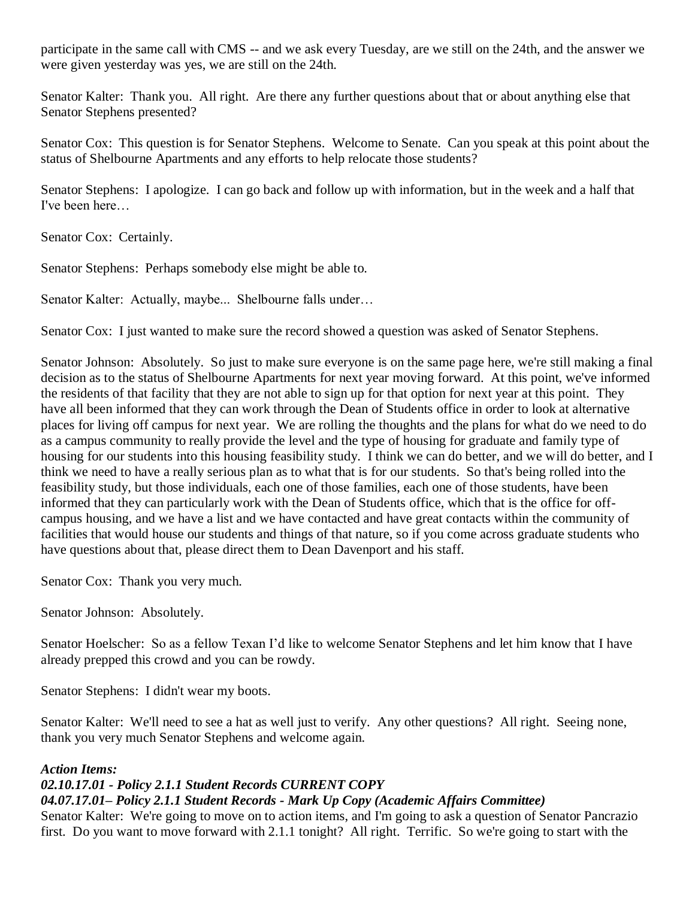participate in the same call with CMS -- and we ask every Tuesday, are we still on the 24th, and the answer we were given yesterday was yes, we are still on the 24th.

Senator Kalter: Thank you. All right. Are there any further questions about that or about anything else that Senator Stephens presented?

Senator Cox: This question is for Senator Stephens. Welcome to Senate. Can you speak at this point about the status of Shelbourne Apartments and any efforts to help relocate those students?

Senator Stephens: I apologize. I can go back and follow up with information, but in the week and a half that I've been here…

Senator Cox: Certainly.

Senator Stephens: Perhaps somebody else might be able to.

Senator Kalter: Actually, maybe... Shelbourne falls under…

Senator Cox: I just wanted to make sure the record showed a question was asked of Senator Stephens.

Senator Johnson: Absolutely. So just to make sure everyone is on the same page here, we're still making a final decision as to the status of Shelbourne Apartments for next year moving forward. At this point, we've informed the residents of that facility that they are not able to sign up for that option for next year at this point. They have all been informed that they can work through the Dean of Students office in order to look at alternative places for living off campus for next year. We are rolling the thoughts and the plans for what do we need to do as a campus community to really provide the level and the type of housing for graduate and family type of housing for our students into this housing feasibility study. I think we can do better, and we will do better, and I think we need to have a really serious plan as to what that is for our students. So that's being rolled into the feasibility study, but those individuals, each one of those families, each one of those students, have been informed that they can particularly work with the Dean of Students office, which that is the office for offcampus housing, and we have a list and we have contacted and have great contacts within the community of facilities that would house our students and things of that nature, so if you come across graduate students who have questions about that, please direct them to Dean Davenport and his staff.

Senator Cox: Thank you very much.

Senator Johnson: Absolutely.

Senator Hoelscher: So as a fellow Texan I'd like to welcome Senator Stephens and let him know that I have already prepped this crowd and you can be rowdy.

Senator Stephens: I didn't wear my boots.

Senator Kalter: We'll need to see a hat as well just to verify. Any other questions? All right. Seeing none, thank you very much Senator Stephens and welcome again.

#### *Action Items:*

#### *02.10.17.01 - Policy 2.1.1 Student Records CURRENT COPY*

#### *04.07.17.01– Policy 2.1.1 Student Records - Mark Up Copy (Academic Affairs Committee)*

Senator Kalter: We're going to move on to action items, and I'm going to ask a question of Senator Pancrazio first. Do you want to move forward with 2.1.1 tonight? All right. Terrific. So we're going to start with the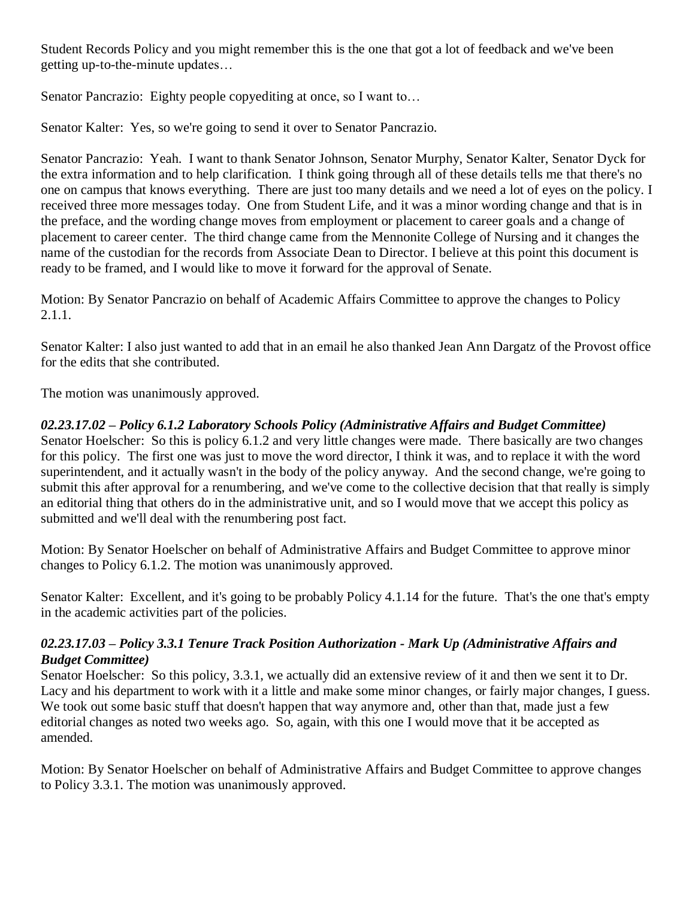Student Records Policy and you might remember this is the one that got a lot of feedback and we've been getting up-to-the-minute updates…

Senator Pancrazio: Eighty people copyediting at once, so I want to...

Senator Kalter: Yes, so we're going to send it over to Senator Pancrazio.

Senator Pancrazio: Yeah. I want to thank Senator Johnson, Senator Murphy, Senator Kalter, Senator Dyck for the extra information and to help clarification. I think going through all of these details tells me that there's no one on campus that knows everything. There are just too many details and we need a lot of eyes on the policy. I received three more messages today. One from Student Life, and it was a minor wording change and that is in the preface, and the wording change moves from employment or placement to career goals and a change of placement to career center. The third change came from the Mennonite College of Nursing and it changes the name of the custodian for the records from Associate Dean to Director. I believe at this point this document is ready to be framed, and I would like to move it forward for the approval of Senate.

Motion: By Senator Pancrazio on behalf of Academic Affairs Committee to approve the changes to Policy 2.1.1.

Senator Kalter: I also just wanted to add that in an email he also thanked Jean Ann Dargatz of the Provost office for the edits that she contributed.

The motion was unanimously approved.

#### *02.23.17.02 – Policy 6.1.2 Laboratory Schools Policy (Administrative Affairs and Budget Committee)*

Senator Hoelscher: So this is policy 6.1.2 and very little changes were made. There basically are two changes for this policy. The first one was just to move the word director, I think it was, and to replace it with the word superintendent, and it actually wasn't in the body of the policy anyway. And the second change, we're going to submit this after approval for a renumbering, and we've come to the collective decision that that really is simply an editorial thing that others do in the administrative unit, and so I would move that we accept this policy as submitted and we'll deal with the renumbering post fact.

Motion: By Senator Hoelscher on behalf of Administrative Affairs and Budget Committee to approve minor changes to Policy 6.1.2. The motion was unanimously approved.

Senator Kalter: Excellent, and it's going to be probably Policy 4.1.14 for the future. That's the one that's empty in the academic activities part of the policies.

#### *02.23.17.03 – Policy 3.3.1 Tenure Track Position Authorization - Mark Up (Administrative Affairs and Budget Committee)*

Senator Hoelscher: So this policy, 3.3.1, we actually did an extensive review of it and then we sent it to Dr. Lacy and his department to work with it a little and make some minor changes, or fairly major changes, I guess. We took out some basic stuff that doesn't happen that way anymore and, other than that, made just a few editorial changes as noted two weeks ago. So, again, with this one I would move that it be accepted as amended.

Motion: By Senator Hoelscher on behalf of Administrative Affairs and Budget Committee to approve changes to Policy 3.3.1. The motion was unanimously approved.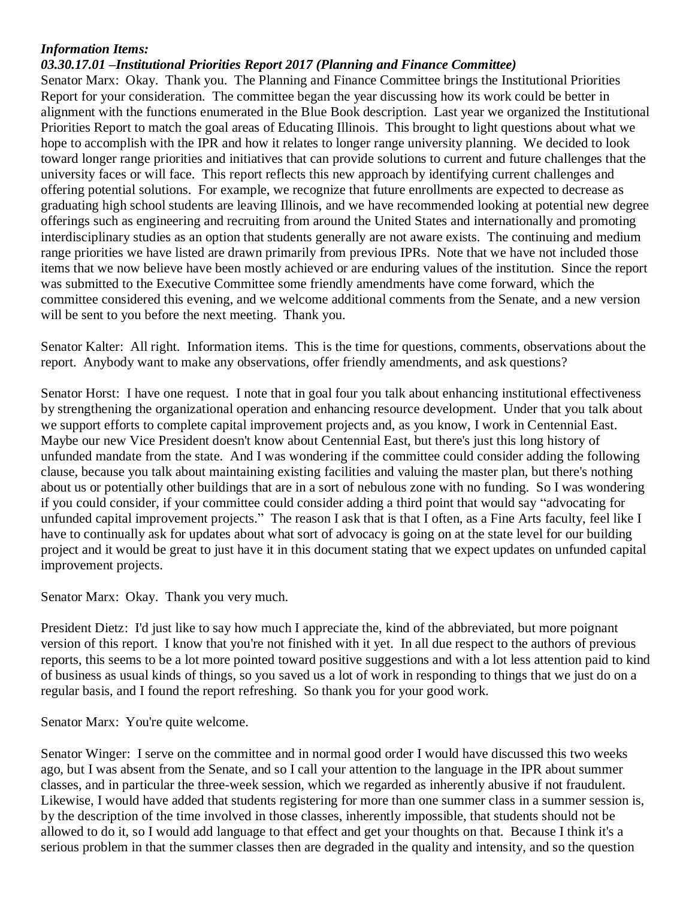#### *Information Items:*

#### *03.30.17.01 –Institutional Priorities Report 2017 (Planning and Finance Committee)*

Senator Marx: Okay. Thank you. The Planning and Finance Committee brings the Institutional Priorities Report for your consideration. The committee began the year discussing how its work could be better in alignment with the functions enumerated in the Blue Book description. Last year we organized the Institutional Priorities Report to match the goal areas of Educating Illinois. This brought to light questions about what we hope to accomplish with the IPR and how it relates to longer range university planning. We decided to look toward longer range priorities and initiatives that can provide solutions to current and future challenges that the university faces or will face. This report reflects this new approach by identifying current challenges and offering potential solutions. For example, we recognize that future enrollments are expected to decrease as graduating high school students are leaving Illinois, and we have recommended looking at potential new degree offerings such as engineering and recruiting from around the United States and internationally and promoting interdisciplinary studies as an option that students generally are not aware exists. The continuing and medium range priorities we have listed are drawn primarily from previous IPRs. Note that we have not included those items that we now believe have been mostly achieved or are enduring values of the institution. Since the report was submitted to the Executive Committee some friendly amendments have come forward, which the committee considered this evening, and we welcome additional comments from the Senate, and a new version will be sent to you before the next meeting. Thank you.

Senator Kalter: All right. Information items. This is the time for questions, comments, observations about the report. Anybody want to make any observations, offer friendly amendments, and ask questions?

Senator Horst: I have one request. I note that in goal four you talk about enhancing institutional effectiveness by strengthening the organizational operation and enhancing resource development. Under that you talk about we support efforts to complete capital improvement projects and, as you know, I work in Centennial East. Maybe our new Vice President doesn't know about Centennial East, but there's just this long history of unfunded mandate from the state. And I was wondering if the committee could consider adding the following clause, because you talk about maintaining existing facilities and valuing the master plan, but there's nothing about us or potentially other buildings that are in a sort of nebulous zone with no funding. So I was wondering if you could consider, if your committee could consider adding a third point that would say "advocating for unfunded capital improvement projects." The reason I ask that is that I often, as a Fine Arts faculty, feel like I have to continually ask for updates about what sort of advocacy is going on at the state level for our building project and it would be great to just have it in this document stating that we expect updates on unfunded capital improvement projects.

Senator Marx: Okay. Thank you very much.

President Dietz: I'd just like to say how much I appreciate the, kind of the abbreviated, but more poignant version of this report. I know that you're not finished with it yet. In all due respect to the authors of previous reports, this seems to be a lot more pointed toward positive suggestions and with a lot less attention paid to kind of business as usual kinds of things, so you saved us a lot of work in responding to things that we just do on a regular basis, and I found the report refreshing. So thank you for your good work.

Senator Marx: You're quite welcome.

Senator Winger: I serve on the committee and in normal good order I would have discussed this two weeks ago, but I was absent from the Senate, and so I call your attention to the language in the IPR about summer classes, and in particular the three-week session, which we regarded as inherently abusive if not fraudulent. Likewise, I would have added that students registering for more than one summer class in a summer session is, by the description of the time involved in those classes, inherently impossible, that students should not be allowed to do it, so I would add language to that effect and get your thoughts on that. Because I think it's a serious problem in that the summer classes then are degraded in the quality and intensity, and so the question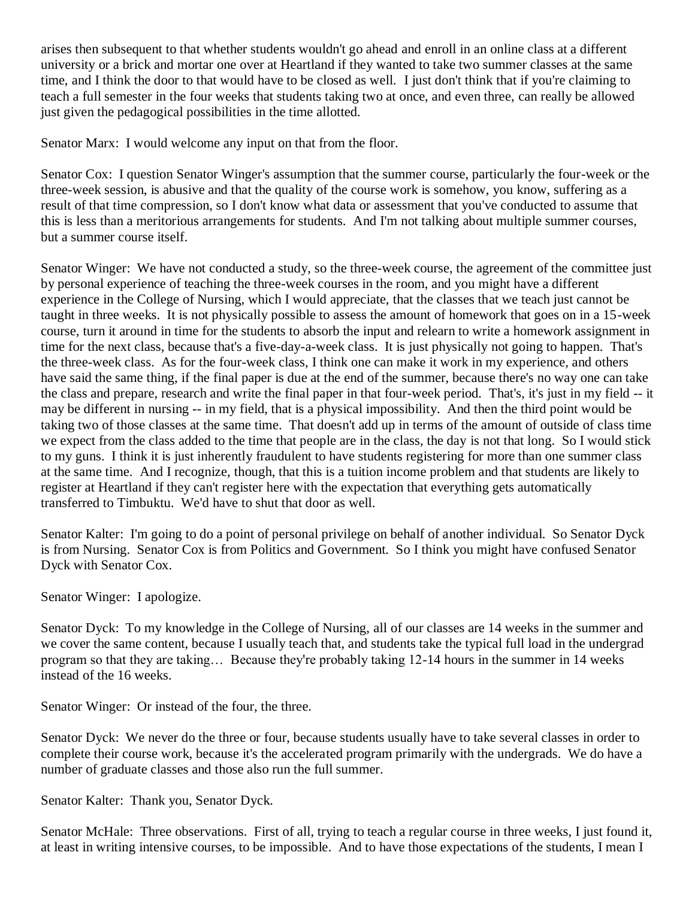arises then subsequent to that whether students wouldn't go ahead and enroll in an online class at a different university or a brick and mortar one over at Heartland if they wanted to take two summer classes at the same time, and I think the door to that would have to be closed as well. I just don't think that if you're claiming to teach a full semester in the four weeks that students taking two at once, and even three, can really be allowed just given the pedagogical possibilities in the time allotted.

Senator Marx: I would welcome any input on that from the floor.

Senator Cox: I question Senator Winger's assumption that the summer course, particularly the four-week or the three-week session, is abusive and that the quality of the course work is somehow, you know, suffering as a result of that time compression, so I don't know what data or assessment that you've conducted to assume that this is less than a meritorious arrangements for students. And I'm not talking about multiple summer courses, but a summer course itself.

Senator Winger: We have not conducted a study, so the three-week course, the agreement of the committee just by personal experience of teaching the three-week courses in the room, and you might have a different experience in the College of Nursing, which I would appreciate, that the classes that we teach just cannot be taught in three weeks. It is not physically possible to assess the amount of homework that goes on in a 15-week course, turn it around in time for the students to absorb the input and relearn to write a homework assignment in time for the next class, because that's a five-day-a-week class. It is just physically not going to happen. That's the three-week class. As for the four-week class, I think one can make it work in my experience, and others have said the same thing, if the final paper is due at the end of the summer, because there's no way one can take the class and prepare, research and write the final paper in that four-week period. That's, it's just in my field -- it may be different in nursing -- in my field, that is a physical impossibility. And then the third point would be taking two of those classes at the same time. That doesn't add up in terms of the amount of outside of class time we expect from the class added to the time that people are in the class, the day is not that long. So I would stick to my guns. I think it is just inherently fraudulent to have students registering for more than one summer class at the same time. And I recognize, though, that this is a tuition income problem and that students are likely to register at Heartland if they can't register here with the expectation that everything gets automatically transferred to Timbuktu. We'd have to shut that door as well.

Senator Kalter: I'm going to do a point of personal privilege on behalf of another individual. So Senator Dyck is from Nursing. Senator Cox is from Politics and Government. So I think you might have confused Senator Dyck with Senator Cox.

Senator Winger: I apologize.

Senator Dyck: To my knowledge in the College of Nursing, all of our classes are 14 weeks in the summer and we cover the same content, because I usually teach that, and students take the typical full load in the undergrad program so that they are taking… Because they're probably taking 12-14 hours in the summer in 14 weeks instead of the 16 weeks.

Senator Winger: Or instead of the four, the three.

Senator Dyck: We never do the three or four, because students usually have to take several classes in order to complete their course work, because it's the accelerated program primarily with the undergrads. We do have a number of graduate classes and those also run the full summer.

Senator Kalter: Thank you, Senator Dyck.

Senator McHale: Three observations. First of all, trying to teach a regular course in three weeks, I just found it, at least in writing intensive courses, to be impossible. And to have those expectations of the students, I mean I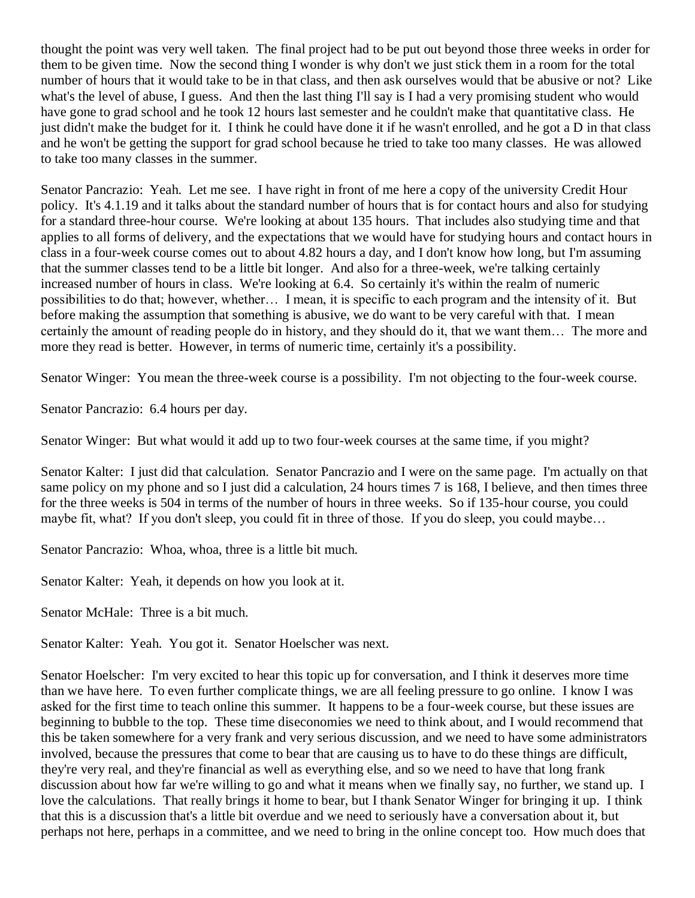thought the point was very well taken. The final project had to be put out beyond those three weeks in order for them to be given time. Now the second thing I wonder is why don't we just stick them in a room for the total number of hours that it would take to be in that class, and then ask ourselves would that be abusive or not? Like what's the level of abuse, I guess. And then the last thing I'll say is I had a very promising student who would have gone to grad school and he took 12 hours last semester and he couldn't make that quantitative class. He just didn't make the budget for it. I think he could have done it if he wasn't enrolled, and he got a D in that class and he won't be getting the support for grad school because he tried to take too many classes. He was allowed to take too many classes in the summer.

Senator Pancrazio: Yeah. Let me see. I have right in front of me here a copy of the university Credit Hour policy. It's 4.1.19 and it talks about the standard number of hours that is for contact hours and also for studying for a standard three-hour course. We're looking at about 135 hours. That includes also studying time and that applies to all forms of delivery, and the expectations that we would have for studying hours and contact hours in class in a four-week course comes out to about 4.82 hours a day, and I don't know how long, but I'm assuming that the summer classes tend to be a little bit longer. And also for a three-week, we're talking certainly increased number of hours in class. We're looking at 6.4. So certainly it's within the realm of numeric possibilities to do that; however, whether… I mean, it is specific to each program and the intensity of it. But before making the assumption that something is abusive, we do want to be very careful with that. I mean certainly the amount of reading people do in history, and they should do it, that we want them… The more and more they read is better. However, in terms of numeric time, certainly it's a possibility.

Senator Winger: You mean the three-week course is a possibility. I'm not objecting to the four-week course.

Senator Pancrazio: 6.4 hours per day.

Senator Winger: But what would it add up to two four-week courses at the same time, if you might?

Senator Kalter: I just did that calculation. Senator Pancrazio and I were on the same page. I'm actually on that same policy on my phone and so I just did a calculation, 24 hours times 7 is 168, I believe, and then times three for the three weeks is 504 in terms of the number of hours in three weeks. So if 135-hour course, you could maybe fit, what? If you don't sleep, you could fit in three of those. If you do sleep, you could maybe…

Senator Pancrazio: Whoa, whoa, three is a little bit much.

Senator Kalter: Yeah, it depends on how you look at it.

Senator McHale: Three is a bit much.

Senator Kalter: Yeah. You got it. Senator Hoelscher was next.

Senator Hoelscher: I'm very excited to hear this topic up for conversation, and I think it deserves more time than we have here. To even further complicate things, we are all feeling pressure to go online. I know I was asked for the first time to teach online this summer. It happens to be a four-week course, but these issues are beginning to bubble to the top. These time diseconomies we need to think about, and I would recommend that this be taken somewhere for a very frank and very serious discussion, and we need to have some administrators involved, because the pressures that come to bear that are causing us to have to do these things are difficult, they're very real, and they're financial as well as everything else, and so we need to have that long frank discussion about how far we're willing to go and what it means when we finally say, no further, we stand up. I love the calculations. That really brings it home to bear, but I thank Senator Winger for bringing it up. I think that this is a discussion that's a little bit overdue and we need to seriously have a conversation about it, but perhaps not here, perhaps in a committee, and we need to bring in the online concept too. How much does that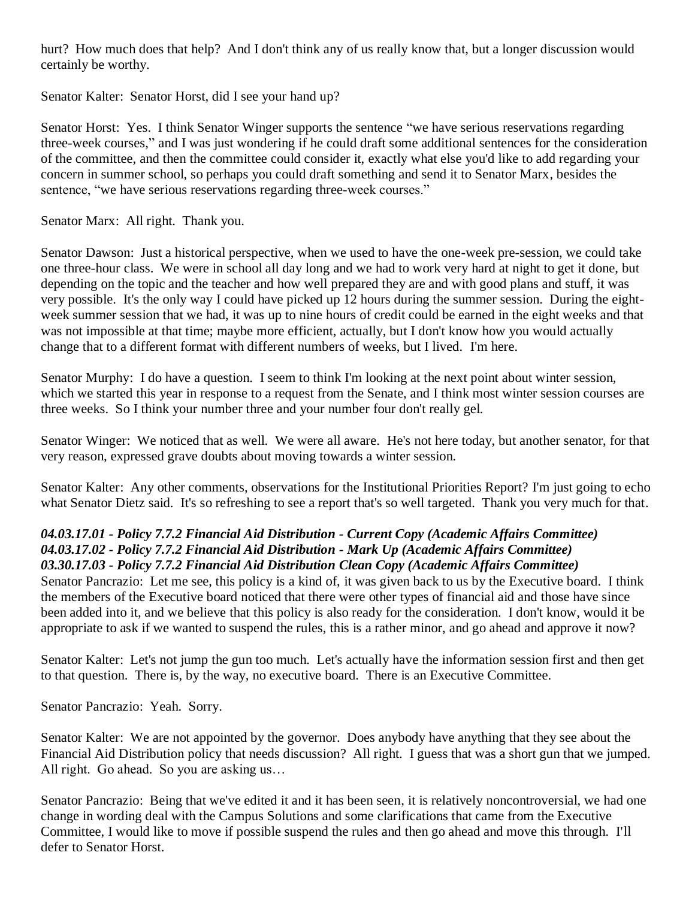hurt? How much does that help? And I don't think any of us really know that, but a longer discussion would certainly be worthy.

Senator Kalter: Senator Horst, did I see your hand up?

Senator Horst: Yes. I think Senator Winger supports the sentence "we have serious reservations regarding three-week courses," and I was just wondering if he could draft some additional sentences for the consideration of the committee, and then the committee could consider it, exactly what else you'd like to add regarding your concern in summer school, so perhaps you could draft something and send it to Senator Marx, besides the sentence, "we have serious reservations regarding three-week courses."

Senator Marx: All right. Thank you.

Senator Dawson: Just a historical perspective, when we used to have the one-week pre-session, we could take one three-hour class. We were in school all day long and we had to work very hard at night to get it done, but depending on the topic and the teacher and how well prepared they are and with good plans and stuff, it was very possible. It's the only way I could have picked up 12 hours during the summer session. During the eightweek summer session that we had, it was up to nine hours of credit could be earned in the eight weeks and that was not impossible at that time; maybe more efficient, actually, but I don't know how you would actually change that to a different format with different numbers of weeks, but I lived. I'm here.

Senator Murphy: I do have a question. I seem to think I'm looking at the next point about winter session, which we started this year in response to a request from the Senate, and I think most winter session courses are three weeks. So I think your number three and your number four don't really gel.

Senator Winger: We noticed that as well. We were all aware. He's not here today, but another senator, for that very reason, expressed grave doubts about moving towards a winter session.

Senator Kalter: Any other comments, observations for the Institutional Priorities Report? I'm just going to echo what Senator Dietz said. It's so refreshing to see a report that's so well targeted. Thank you very much for that.

#### *04.03.17.01 - Policy 7.7.2 Financial Aid Distribution - Current Copy (Academic Affairs Committee) 04.03.17.02 - Policy 7.7.2 Financial Aid Distribution - Mark Up (Academic Affairs Committee) 03.30.17.03 - Policy 7.7.2 Financial Aid Distribution Clean Copy (Academic Affairs Committee)*

Senator Pancrazio: Let me see, this policy is a kind of, it was given back to us by the Executive board. I think the members of the Executive board noticed that there were other types of financial aid and those have since been added into it, and we believe that this policy is also ready for the consideration. I don't know, would it be appropriate to ask if we wanted to suspend the rules, this is a rather minor, and go ahead and approve it now?

Senator Kalter: Let's not jump the gun too much. Let's actually have the information session first and then get to that question. There is, by the way, no executive board. There is an Executive Committee.

Senator Pancrazio: Yeah. Sorry.

Senator Kalter: We are not appointed by the governor. Does anybody have anything that they see about the Financial Aid Distribution policy that needs discussion? All right. I guess that was a short gun that we jumped. All right. Go ahead. So you are asking us…

Senator Pancrazio: Being that we've edited it and it has been seen, it is relatively noncontroversial, we had one change in wording deal with the Campus Solutions and some clarifications that came from the Executive Committee, I would like to move if possible suspend the rules and then go ahead and move this through. I'll defer to Senator Horst.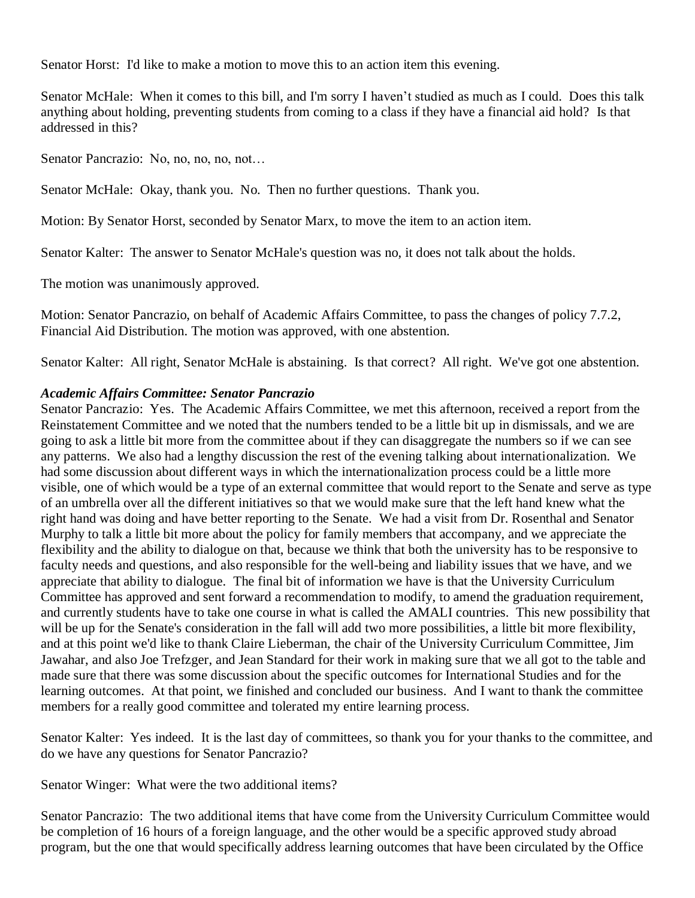Senator Horst: I'd like to make a motion to move this to an action item this evening.

Senator McHale: When it comes to this bill, and I'm sorry I haven't studied as much as I could. Does this talk anything about holding, preventing students from coming to a class if they have a financial aid hold? Is that addressed in this?

Senator Pancrazio: No, no, no, no, not…

Senator McHale: Okay, thank you. No. Then no further questions. Thank you.

Motion: By Senator Horst, seconded by Senator Marx, to move the item to an action item.

Senator Kalter: The answer to Senator McHale's question was no, it does not talk about the holds.

The motion was unanimously approved.

Motion: Senator Pancrazio, on behalf of Academic Affairs Committee, to pass the changes of policy 7.7.2, Financial Aid Distribution. The motion was approved, with one abstention.

Senator Kalter: All right, Senator McHale is abstaining. Is that correct? All right. We've got one abstention.

#### *Academic Affairs Committee: Senator Pancrazio*

Senator Pancrazio: Yes. The Academic Affairs Committee, we met this afternoon, received a report from the Reinstatement Committee and we noted that the numbers tended to be a little bit up in dismissals, and we are going to ask a little bit more from the committee about if they can disaggregate the numbers so if we can see any patterns. We also had a lengthy discussion the rest of the evening talking about internationalization. We had some discussion about different ways in which the internationalization process could be a little more visible, one of which would be a type of an external committee that would report to the Senate and serve as type of an umbrella over all the different initiatives so that we would make sure that the left hand knew what the right hand was doing and have better reporting to the Senate. We had a visit from Dr. Rosenthal and Senator Murphy to talk a little bit more about the policy for family members that accompany, and we appreciate the flexibility and the ability to dialogue on that, because we think that both the university has to be responsive to faculty needs and questions, and also responsible for the well-being and liability issues that we have, and we appreciate that ability to dialogue. The final bit of information we have is that the University Curriculum Committee has approved and sent forward a recommendation to modify, to amend the graduation requirement, and currently students have to take one course in what is called the AMALI countries. This new possibility that will be up for the Senate's consideration in the fall will add two more possibilities, a little bit more flexibility, and at this point we'd like to thank Claire Lieberman, the chair of the University Curriculum Committee, Jim Jawahar, and also Joe Trefzger, and Jean Standard for their work in making sure that we all got to the table and made sure that there was some discussion about the specific outcomes for International Studies and for the learning outcomes. At that point, we finished and concluded our business. And I want to thank the committee members for a really good committee and tolerated my entire learning process.

Senator Kalter: Yes indeed. It is the last day of committees, so thank you for your thanks to the committee, and do we have any questions for Senator Pancrazio?

Senator Winger: What were the two additional items?

Senator Pancrazio: The two additional items that have come from the University Curriculum Committee would be completion of 16 hours of a foreign language, and the other would be a specific approved study abroad program, but the one that would specifically address learning outcomes that have been circulated by the Office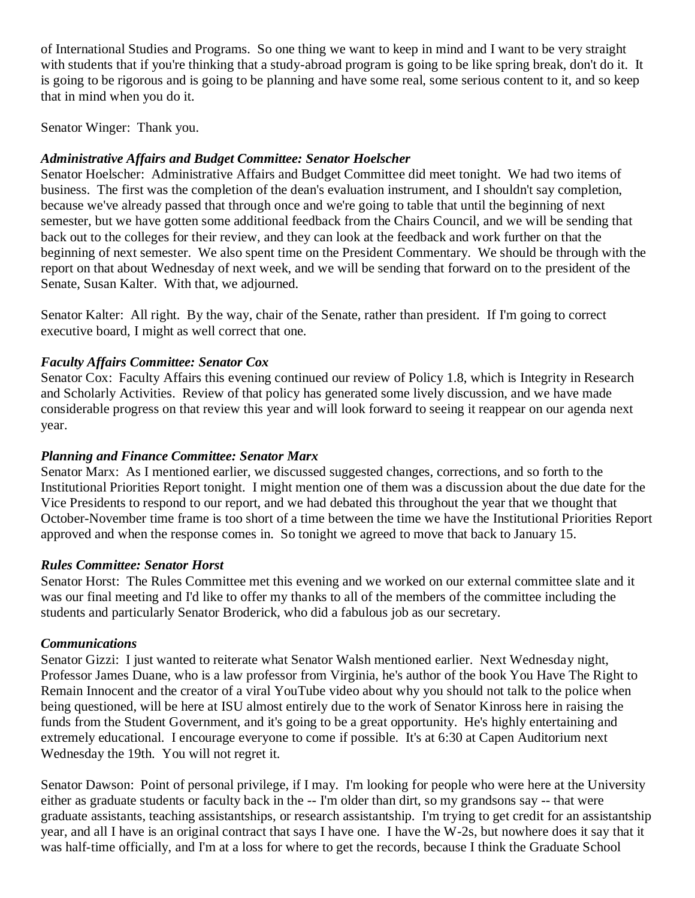of International Studies and Programs. So one thing we want to keep in mind and I want to be very straight with students that if you're thinking that a study-abroad program is going to be like spring break, don't do it. It is going to be rigorous and is going to be planning and have some real, some serious content to it, and so keep that in mind when you do it.

Senator Winger: Thank you.

#### *Administrative Affairs and Budget Committee: Senator Hoelscher*

Senator Hoelscher: Administrative Affairs and Budget Committee did meet tonight. We had two items of business. The first was the completion of the dean's evaluation instrument, and I shouldn't say completion, because we've already passed that through once and we're going to table that until the beginning of next semester, but we have gotten some additional feedback from the Chairs Council, and we will be sending that back out to the colleges for their review, and they can look at the feedback and work further on that the beginning of next semester. We also spent time on the President Commentary. We should be through with the report on that about Wednesday of next week, and we will be sending that forward on to the president of the Senate, Susan Kalter. With that, we adjourned.

Senator Kalter: All right. By the way, chair of the Senate, rather than president. If I'm going to correct executive board, I might as well correct that one.

#### *Faculty Affairs Committee: Senator Cox*

Senator Cox: Faculty Affairs this evening continued our review of Policy 1.8, which is Integrity in Research and Scholarly Activities. Review of that policy has generated some lively discussion, and we have made considerable progress on that review this year and will look forward to seeing it reappear on our agenda next year.

#### *Planning and Finance Committee: Senator Marx*

Senator Marx: As I mentioned earlier, we discussed suggested changes, corrections, and so forth to the Institutional Priorities Report tonight. I might mention one of them was a discussion about the due date for the Vice Presidents to respond to our report, and we had debated this throughout the year that we thought that October-November time frame is too short of a time between the time we have the Institutional Priorities Report approved and when the response comes in. So tonight we agreed to move that back to January 15.

#### *Rules Committee: Senator Horst*

Senator Horst: The Rules Committee met this evening and we worked on our external committee slate and it was our final meeting and I'd like to offer my thanks to all of the members of the committee including the students and particularly Senator Broderick, who did a fabulous job as our secretary.

#### *Communications*

Senator Gizzi: I just wanted to reiterate what Senator Walsh mentioned earlier. Next Wednesday night, Professor James Duane, who is a law professor from Virginia, he's author of the book You Have The Right to Remain Innocent and the creator of a viral YouTube video about why you should not talk to the police when being questioned, will be here at ISU almost entirely due to the work of Senator Kinross here in raising the funds from the Student Government, and it's going to be a great opportunity. He's highly entertaining and extremely educational. I encourage everyone to come if possible. It's at 6:30 at Capen Auditorium next Wednesday the 19th. You will not regret it.

Senator Dawson: Point of personal privilege, if I may. I'm looking for people who were here at the University either as graduate students or faculty back in the -- I'm older than dirt, so my grandsons say -- that were graduate assistants, teaching assistantships, or research assistantship. I'm trying to get credit for an assistantship year, and all I have is an original contract that says I have one. I have the W-2s, but nowhere does it say that it was half-time officially, and I'm at a loss for where to get the records, because I think the Graduate School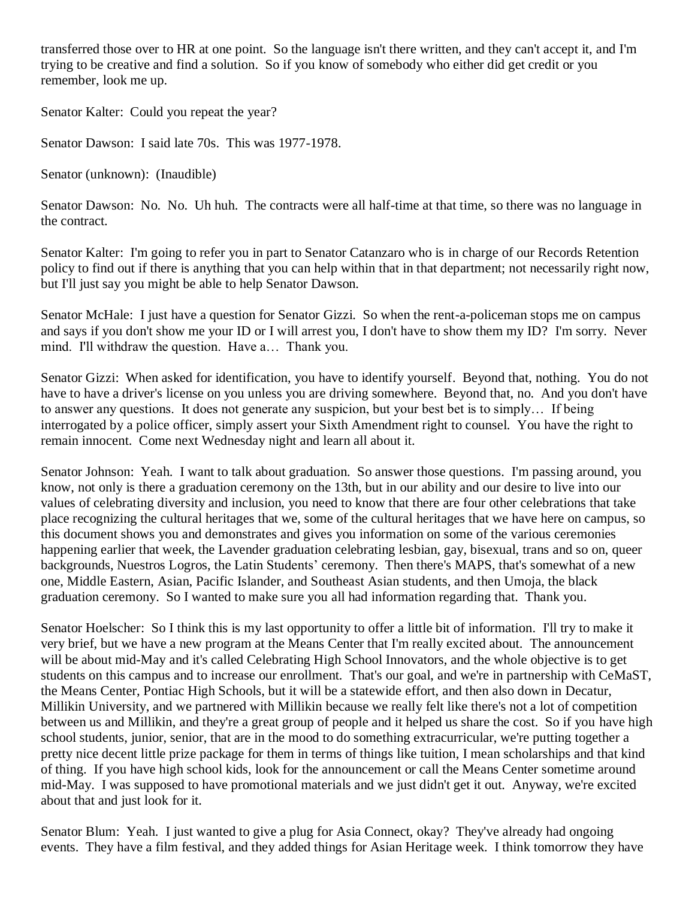transferred those over to HR at one point. So the language isn't there written, and they can't accept it, and I'm trying to be creative and find a solution. So if you know of somebody who either did get credit or you remember, look me up.

Senator Kalter: Could you repeat the year?

Senator Dawson: I said late 70s. This was 1977-1978.

Senator (unknown): (Inaudible)

Senator Dawson: No. No. Uh huh. The contracts were all half-time at that time, so there was no language in the contract.

Senator Kalter: I'm going to refer you in part to Senator Catanzaro who is in charge of our Records Retention policy to find out if there is anything that you can help within that in that department; not necessarily right now, but I'll just say you might be able to help Senator Dawson.

Senator McHale: I just have a question for Senator Gizzi. So when the rent-a-policeman stops me on campus and says if you don't show me your ID or I will arrest you, I don't have to show them my ID? I'm sorry. Never mind. I'll withdraw the question. Have a… Thank you.

Senator Gizzi: When asked for identification, you have to identify yourself. Beyond that, nothing. You do not have to have a driver's license on you unless you are driving somewhere. Beyond that, no. And you don't have to answer any questions. It does not generate any suspicion, but your best bet is to simply… If being interrogated by a police officer, simply assert your Sixth Amendment right to counsel. You have the right to remain innocent. Come next Wednesday night and learn all about it.

Senator Johnson: Yeah. I want to talk about graduation. So answer those questions. I'm passing around, you know, not only is there a graduation ceremony on the 13th, but in our ability and our desire to live into our values of celebrating diversity and inclusion, you need to know that there are four other celebrations that take place recognizing the cultural heritages that we, some of the cultural heritages that we have here on campus, so this document shows you and demonstrates and gives you information on some of the various ceremonies happening earlier that week, the Lavender graduation celebrating lesbian, gay, bisexual, trans and so on, queer backgrounds, Nuestros Logros, the Latin Students' ceremony. Then there's MAPS, that's somewhat of a new one, Middle Eastern, Asian, Pacific Islander, and Southeast Asian students, and then Umoja, the black graduation ceremony. So I wanted to make sure you all had information regarding that. Thank you.

Senator Hoelscher: So I think this is my last opportunity to offer a little bit of information. I'll try to make it very brief, but we have a new program at the Means Center that I'm really excited about. The announcement will be about mid-May and it's called Celebrating High School Innovators, and the whole objective is to get students on this campus and to increase our enrollment. That's our goal, and we're in partnership with CeMaST, the Means Center, Pontiac High Schools, but it will be a statewide effort, and then also down in Decatur, Millikin University, and we partnered with Millikin because we really felt like there's not a lot of competition between us and Millikin, and they're a great group of people and it helped us share the cost. So if you have high school students, junior, senior, that are in the mood to do something extracurricular, we're putting together a pretty nice decent little prize package for them in terms of things like tuition, I mean scholarships and that kind of thing. If you have high school kids, look for the announcement or call the Means Center sometime around mid-May. I was supposed to have promotional materials and we just didn't get it out. Anyway, we're excited about that and just look for it.

Senator Blum: Yeah. I just wanted to give a plug for Asia Connect, okay? They've already had ongoing events. They have a film festival, and they added things for Asian Heritage week. I think tomorrow they have